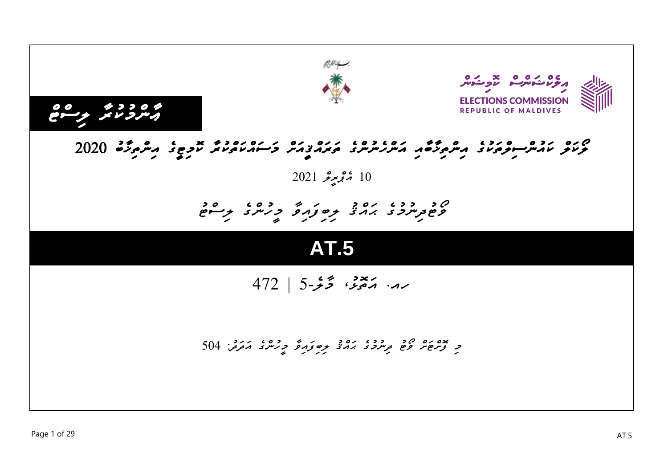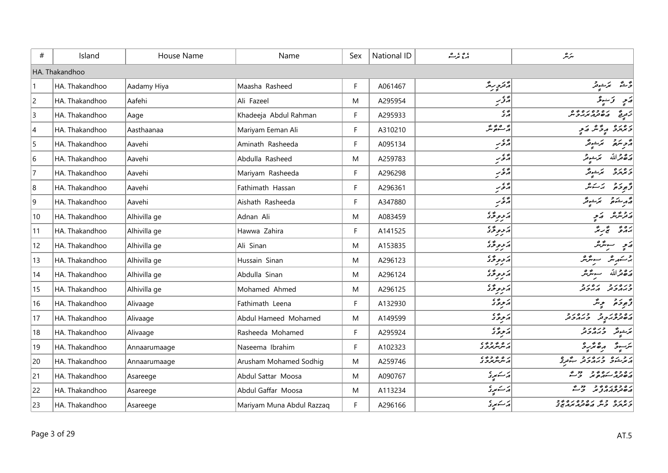| #              | Island         | House Name   | Name                      | Sex       | National ID | ، ه ، ره<br>مر، مر                     | ىئرىتر                                                                                                                                                                                                                                       |
|----------------|----------------|--------------|---------------------------|-----------|-------------|----------------------------------------|----------------------------------------------------------------------------------------------------------------------------------------------------------------------------------------------------------------------------------------------|
|                | HA. Thakandhoo |              |                           |           |             |                                        |                                                                                                                                                                                                                                              |
|                | HA. Thakandhoo | Aadamy Hiya  | Maasha Rasheed            | F         | A061467     | ا پر تمر <sub>س</sub> پر تر<br>مرکز کر | گرىنگە كەرىنېوتر                                                                                                                                                                                                                             |
| $\overline{c}$ | HA. Thakandhoo | Aafehi       | Ali Fazeel                | M         | A295954     | رچمنځرسیه                              | أة و توسي                                                                                                                                                                                                                                    |
| $\mathsf{3}$   | HA. Thakandhoo | Aage         | Khadeeja Abdul Rahman     | F         | A295933     | پر<br>مر                               | ر د د ده ده ده ده و.<br>زمرنج د ه تر د برر و بر                                                                                                                                                                                              |
| 4              | HA. Thakandhoo | Aasthaanaa   | Mariyam Eeman Ali         | F         | A310210     | ۇ ھۇبىر                                | وبممرو بإؤنثر كمي                                                                                                                                                                                                                            |
| 5              | HA. Thakandhoo | Aavehi       | Aminath Rasheeda          | F         | A095134     | ەء<br>مەھرىر                           | أمراضهم تمر يحر                                                                                                                                                                                                                              |
| $\,$ 6 $\,$    | HA. Thakandhoo | Aavehi       | Abdulla Rasheed           | ${\sf M}$ | A259783     | ومحمر                                  | <mark>بر25</mark> مرالله<br>بخرشوقر                                                                                                                                                                                                          |
| $\overline{7}$ | HA. Thakandhoo | Aavehi       | Mariyam Rasheeda          | F         | A296298     | ومحمر                                  | د ۵ ر ۵ سر کر شونگر                                                                                                                                                                                                                          |
| 8              | HA. Thakandhoo | Aavehi       | Fathimath Hassan          | F         | A296361     | پژځو سر                                | ق بيره برسكس                                                                                                                                                                                                                                 |
| $\overline{9}$ | HA. Thakandhoo | Aavehi       | Aishath Rasheeda          | F         | A347880     | ومحور                                  | د د د د د د د کنده کند.<br>د او د کنده د سمونه کند                                                                                                                                                                                           |
| 10             | HA. Thakandhoo | Alhivilla ge | Adnan Ali                 | ${\sf M}$ | A083459     | د کر و و د د کا                        | كەفرىترىش كەيچە                                                                                                                                                                                                                              |
| 11             | HA. Thakandhoo | Alhivilla ge | Hawwa Zahira              | F         | A141525     | د کرو څرنگه<br>مرم                     | برە ئەستىر ئىگە                                                                                                                                                                                                                              |
| 12             | HA. Thakandhoo | Alhivilla ge | Ali Sinan                 | ${\sf M}$ | A153835     | ەكمەرە ئىچى                            | أەسمج سوسترىتىر                                                                                                                                                                                                                              |
| 13             | HA. Thakandhoo | Alhivilla ge | Hussain Sinan             | ${\sf M}$ | A296123     | ىز مەمۇرى<br>مەم                       | <mark>جر سے ہر سو سر سر س</mark> ر سر میں میں میں میں میں ایک کا کر سر کر سر کر سر کر سر کر سر کر سر کر سر کر سر کر سر کر س<br>میں کہا کہ سر کر سر کر سر کر سر کر سر کر سر کر سر کر سر کر سر کر سر کر سر کر سر کر سر کر سر کر سر کر سر کر سر |
| 14             | HA. Thakandhoo | Alhivilla ge | Abdulla Sinan             | M         | A296124     | د کرو څرنگه<br>مرم                     | رەقمەللە سەئرىر                                                                                                                                                                                                                              |
| 15             | HA. Thakandhoo | Alhivilla ge | Mohamed Ahmed             | M         | A296125     | بر د ه و د د<br>سرم مرد                | ەر دەر<br>و ر ه ر و<br>تر پر ژ تر                                                                                                                                                                                                            |
| 16             | HA. Thakandhoo | Alivaage     | Fathimath Leena           | F         | A132930     | ەر دە                                  | قەددە بېتر                                                                                                                                                                                                                                   |
| 17             | HA. Thakandhoo | Alivaage     | Abdul Hameed Mohamed      | M         | A149599     | پەنچە                                  | גפרפג כ כגם בק                                                                                                                                                                                                                               |
| 18             | HA. Thakandhoo | Alivaage     | Rasheeda Mohamed          | F         | A295924     | ە ئورگ                                 | پُرَشوِتَرُ 2019 و د                                                                                                                                                                                                                         |
| 19             | HA. Thakandhoo | Annaarumaage | Naseema Ibrahim           | F         | A102323     | ر ه ۶ و ۶ و<br>د سرسربرو د             | ىئرىسۇ مەھمەرد                                                                                                                                                                                                                               |
| 20             | HA. Thakandhoo | Annaarumaage | Arusham Mohamed Sodhig    | M         | A259746     | ر ه ۶ و ۶ و<br>د سرسربرو د             | ر و ره در ۲۵ ورو.<br>پر دشون و بربرونر بگوری                                                                                                                                                                                                 |
| 21             | HA. Thakandhoo | Asareege     | Abdul Sattar Moosa        | M         | A090767     | ېزىسە بېرى<br>ئە                       | נסכם נסיכ כביי.<br>הסנג התופיג כי                                                                                                                                                                                                            |
| 22             | HA. Thakandhoo | Asareege     | Abdul Gaffar Moosa        | M         | A113234     | ېز سه پېړۍ<br>په                       | נס כס נס כי מגיר.<br>השנת הגנית - כן ב                                                                                                                                                                                                       |
| 23             | HA. Thakandhoo | Asareege     | Mariyam Muna Abdul Razzaq | F         | A296166     | ېز سه پېړۍ<br>په                       | ג סגם כבי גם כסגם ביב<br>כימינים כיילי וליסינומיות ביב                                                                                                                                                                                       |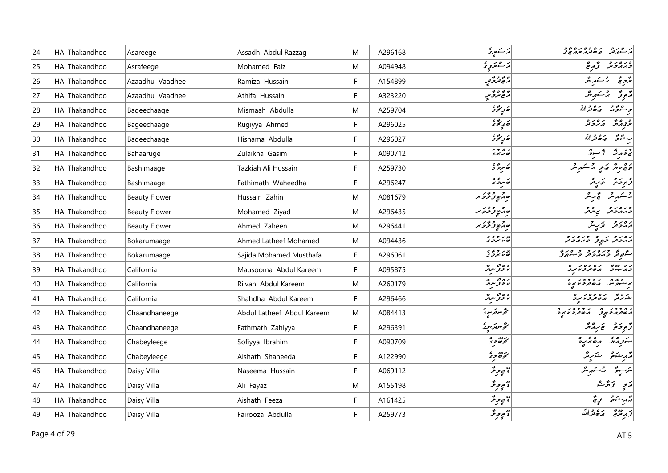| 24 | HA. Thakandhoo | Asareege             | Assadh Abdul Razzag        | M  | A296168 | ىز سەئىرى<br>ئ                                | ג פגב גם כסגם בב<br>ה' ייתרת השינות מהיב            |
|----|----------------|----------------------|----------------------------|----|---------|-----------------------------------------------|-----------------------------------------------------|
| 25 | HA. Thakandhoo | Asrafeege            | Mohamed Faiz               | M  | A094948 | ——<br> ر شونرو پر                             | وره رو و ه                                          |
| 26 | HA. Thakandhoo | Azaadhu Vaadhee      | Ramiza Hussain             | F  | A154899 | پر پر برگرمبر<br>  پر پی تعری <sub>ر</sub> کو | تجريح برستيريثر                                     |
| 27 | HA. Thakandhoo | Azaadhu Vaadhee      | Athifa Hussain             | F  | A323220 | ر د د د و د د کند.<br>مرگور د کند             | رمي پوڻڙ<br>برسەمەر                                 |
| 28 | HA. Thakandhoo | Bageechaage          | Mismaah Abdulla            | M  | A259704 | ر<br>ئەس ئە                                   | وحوته وهقرالله                                      |
| 29 | HA. Thakandhoo | Bageechaage          | Rugiyya Ahmed              | F  | A296025 | ر<br>صی گوی                                   | و وه دورو                                           |
| 30 | HA. Thakandhoo | Bageechaage          | Hishama Abdulla            | F  | A296027 | ر په دي.<br>په نړۍ                            | أرشَّقَ صَصْغَراللَّه                               |
| 31 | HA. Thakandhoo | Bahaaruge            | Zulaikha Gasim             | F  | A090712 | ر پر د ،<br>©رتمری                            | ە ئەرەر ئ <sup>ە</sup> ئەسرە                        |
| 32 | HA. Thakandhoo | Bashimaage           | Tazkiah Ali Hussain        | F  | A259730 | ر<br>ئەبرىرى                                  | وتمروش وكمو بر سكر مر                               |
| 33 | HA. Thakandhoo | Bashimaage           | Fathimath Waheedha         | F  | A296247 | لقىرچ                                         | وَجوحَهِ وَرِمَّر                                   |
| 34 | HA. Thakandhoo | <b>Beauty Flower</b> | Hussain Zahin              | M  | A081679 | ەرمۇ زېمۇ ئىر                                 | يز سكر مثل التجار مثل                               |
| 35 | HA. Thakandhoo | <b>Beauty Flower</b> | Mohamed Ziyad              | M  | A296435 | ەرمىسى ئەرىپىيە<br>مەسىر ئەرىپە               | وره رو در پرور<br>د <i>پرو</i> تر برور              |
| 36 | HA. Thakandhoo | <b>Beauty Flower</b> | Ahmed Zaheen               | M  | A296441 | ەرمۇز ۋە<br>مەھ زىۋە بىر                      | رەرو ئەربىر                                         |
| 37 | HA. Thakandhoo | Bokarumaage          | Ahmed Latheef Mohamed      | M  | A094436 | پر ر د ه ،<br>  خان مرد د                     | גם גב <sub>באש</sub> פ כגם גב<br>גגבע באינ כגהכת    |
| 38 | HA. Thakandhoo | Bokarumaage          | Sajida Mohamed Musthafa    | F  | A296061 | پر ر د » ><br>ن مرد د                         | ر دره دره د و دره<br>سگهنگر وبرابروتر و ب           |
| 39 | HA. Thakandhoo | California           | Mausooma Abdul Kareem      | F. | A095875 | ا عموم شریحه<br>مشخور سریحه                   | י דח מסיקרי מי<br>11. הר הסיק <i>ר</i> י <i>ק</i> ב |
| 40 | HA. Thakandhoo | California           | Rilvan Abdul Kareem        | M  | A260179 | ، وه سرگر                                     | ە بەھەر دە دەرىرە<br>مېرىشوشىر ئەھەر <i>ۋىر</i> ى   |
| 41 | HA. Thakandhoo | California           | Shahdha Abdul Kareem       | F  | A296466 | ، وه مبرد<br>موفر مبرد                        | شروش مەەمەر دە                                      |
| 42 | HA. Thakandhoo | Chaandhaneege        | Abdul Latheef Abdul Kareem | M  | A084413 | كۇسرىر سرچ                                    | גם כסגם פי גברסגם<br>השנה בתור השניבט תב            |
| 43 | HA. Thakandhoo | Chaandhaneege        | Fathmath Zahiyya           | F. | A296391 | كۇسرىر سرچ                                    | وتجوحكم بمرور                                       |
| 44 | HA. Thakandhoo | Chabeyleege          | Sofiyya Ibrahim            | F  | A090709 | ری د ؟<br>کوه مرد                             | ينورش رەپرىر                                        |
| 45 | HA. Thakandhoo | Chabeyleege          | Aishath Shaheeda           | F  | A122990 | رى<br>كى <sub>ۋ</sub> ە <del>ئ</del> رى       | أقهر مشورة الشريقة                                  |
| 46 | HA. Thakandhoo | Daisy Villa          | Naseema Hussain            | F  | A069112 | ،<br>پې پېړنگر                                | ىئەسەدىخە<br>ئ<br>جر سەمەر بىر                      |
| 47 | HA. Thakandhoo | Daisy Villa          | Ali Fayaz                  | M  | A155198 | يې پېړۍ تنگه<br>د کلوم                        | ە ئەر                                               |
| 48 | HA. Thakandhoo | Daisy Villa          | Aishath Feeza              | F. | A161425 | اء<br>موسو                                    | پھر مشہور<br>م                                      |
| 49 | HA. Thakandhoo | Daisy Villa          | Fairooza Abdulla           | F  | A259773 | ې<br>نامورځه                                  | مَە قراللّه<br>ر دو»<br>زېر پن                      |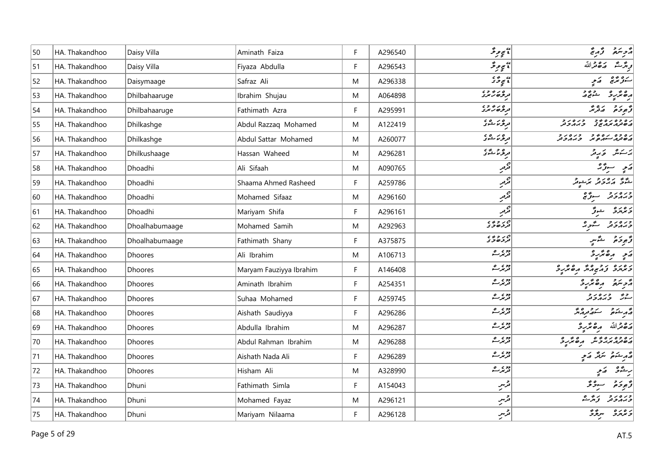| 50 | HA. Thakandhoo | Daisy Villa    | Aminath Faiza           | F  | A296540 | اءِ <sub>مح</sub> وظ                                                                                               | تو ٌ مرسح<br>و در دره<br>ارد سره<br>برگ                                                                                                                                                                                          |
|----|----------------|----------------|-------------------------|----|---------|--------------------------------------------------------------------------------------------------------------------|----------------------------------------------------------------------------------------------------------------------------------------------------------------------------------------------------------------------------------|
| 51 | HA. Thakandhoo | Daisy Villa    | Fiyaza Abdulla          | F. | A296543 | اء<br>مورگر                                                                                                        | ەھەراللە                                                                                                                                                                                                                         |
| 52 | HA. Thakandhoo | Daisymaage     | Safraz Ali              | M  | A296338 | $\begin{array}{c} \overline{c} \neq \overline{c} \ \overline{c} \circ \overline{c} \circ \overline{c} \end{array}$ | $rac{1}{2}$<br>$\frac{1}{2}$                                                                                                                                                                                                     |
| 53 | HA. Thakandhoo | Dhilbahaaruge  | Ibrahim Shujau          | M  | A064898 | ه در ۶ و ۷<br>ترنژه رنگری                                                                                          | ە ھەترىرى<br>مەھىرىرى<br>ر ج خ ح<br>مشتوی در                                                                                                                                                                                     |
| 54 | HA. Thakandhoo | Dhilbahaaruge  | Fathimath Azra          | F. | A295991 | و در ۶ و ۷<br>ترنژه رنجری                                                                                          | توجدة مقرش                                                                                                                                                                                                                       |
| 55 | HA. Thakandhoo | Dhilkashge     | Abdul Razzaq Mohamed    | M  | A122419 | دره <i>۲</i> شوی                                                                                                   | و رە ر د<br>تر پروتر<br>ן 3 ק 2 ק 2 ק<br>4 ק ש ג 4 ק 7 ק 7 ק                                                                                                                                                                     |
| 56 | HA. Thakandhoo | Dhilkashge     | Abdul Sattar Mohamed    | M  | A260077 | .<br>درگر <i>ما</i> شو ک                                                                                           | נסכם נסמכ כנסנכ<br>גם <i>נגר – יותר ביי</i> תכינ                                                                                                                                                                                 |
| 57 | HA. Thakandhoo | Dhilkushaage   | Hassan Waheed           | M  | A296281 | دره <sup>و</sup> پر پر پر<br>درنوم شور                                                                             | ئەستەش <sub>ئۇ ي</sub> رىتى<br> -                                                                                                                                                                                                |
| 58 | HA. Thakandhoo | Dhoadhi        | Ali Sifaah              | M  | A090765 | ج<br>مومر                                                                                                          | ړې سرگه<br>مړينې                                                                                                                                                                                                                 |
| 59 | HA. Thakandhoo | Dhoadhi        | Shaama Ahmed Rasheed    | F  | A259786 | ج<br>موقو                                                                                                          |                                                                                                                                                                                                                                  |
| 60 | HA. Thakandhoo | Dhoadhi        | Mohamed Sifaaz          | M  | A296160 | ە<br>مۇمر                                                                                                          |                                                                                                                                                                                                                                  |
| 61 | HA. Thakandhoo | Dhoadhi        | Mariyam Shifa           | F  | A296161 | اچھور                                                                                                              | ترەرە شەۋ                                                                                                                                                                                                                        |
| 62 | HA. Thakandhoo | Dhoalhabumaage | Mohamed Samih           | M  | A292963 | ? ر و » ›<br>  ترتر ه و ی                                                                                          | ورەرو گەرو                                                                                                                                                                                                                       |
| 63 | HA. Thakandhoo | Dhoalhabumaage | Fathimath Shany         | F  | A375875 | ہ ر د د »<br>ترترے تر ت                                                                                            | قەر ئەھم ئىققىر                                                                                                                                                                                                                  |
| 64 | HA. Thakandhoo | <b>Dhoores</b> | Ali Ibrahim             | M  | A106713 | ود ۽ ه<br>تعريجه شک                                                                                                | أوبح وهتربرد                                                                                                                                                                                                                     |
| 65 | HA. Thakandhoo | <b>Dhoores</b> | Maryam Fauziyya Ibrahim | F  | A146408 | دد ،<br>تربر گ                                                                                                     | נסנס נד כמי תסתיכ                                                                                                                                                                                                                |
| 66 | HA. Thakandhoo | <b>Dhoores</b> | Aminath Ibrahim         | F  | A254351 | ود ۽ ه                                                                                                             | أترجم بمصرير                                                                                                                                                                                                                     |
| 67 | HA. Thakandhoo | <b>Dhoores</b> | Suhaa Mohamed           | F  | A259745 | ود ۽ ه                                                                                                             | روم ورەرو                                                                                                                                                                                                                        |
| 68 | HA. Thakandhoo | <b>Dhoores</b> | Aishath Saudiyya        | F. | A296286 | ود ۽ ه                                                                                                             | د در در دره در در در در شور مرکز در شرکتر در شرکتر در شرکتر در شرکتر در شرکتر در شرکت استان به این شرکت به شرکت<br>مرکز شرکت استان شرکتر در شرکتر در شرکتر در شرکتر در شرکتر در شرکتر شرکت استان شرکت استان شرکت استان شرکت استا |
| 69 | HA. Thakandhoo | <b>Dhoores</b> | Abdulla Ibrahim         | M  | A296287 | ود ۽ ه                                                                                                             | مَصْدَاللَّهُ مِصْغَرِ وَ                                                                                                                                                                                                        |
| 70 | HA. Thakandhoo | <b>Dhoores</b> | Abdul Rahman Ibrahim    | M  | A296288 | ود ۽ ه                                                                                                             | גם כם גם כם מקס בים                                                                                                                                                                                                              |
| 71 | HA. Thakandhoo | <b>Dhoores</b> | Aishath Nada Ali        | F  | A296289 | ود ۽ ه<br>تعريجه شک                                                                                                | ة مركزة الكراة من المراجع.<br>المركزة المراجع<br>المركزة المراجع.                                                                                                                                                                |
| 72 | HA. Thakandhoo | <b>Dhoores</b> | Hisham Ali              | M  | A328990 | دد ۽ ه                                                                                                             |                                                                                                                                                                                                                                  |
| 73 | HA. Thakandhoo | Dhuni          | Fathimath Simla         | F  | A154043 | اقرسر                                                                                                              | قەدە سوڭ                                                                                                                                                                                                                         |
| 74 | HA. Thakandhoo | <b>Dhuni</b>   | Mohamed Fayaz           | M  | A296121 | قرسر                                                                                                               | و ره ر د<br><i>د ب</i> رگرفر<br>تر پژ ہے۔                                                                                                                                                                                        |
| 75 | HA. Thakandhoo | Dhuni          | Mariyam Nilaama         | F. | A296128 | قرسر                                                                                                               | دەرە سەۋە                                                                                                                                                                                                                        |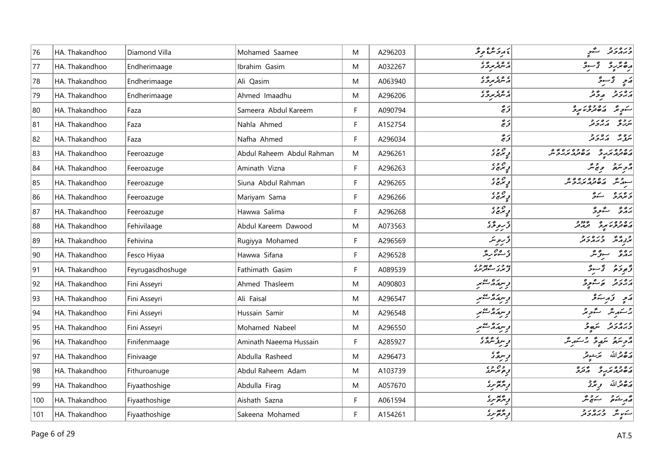| 76  | HA. Thakandhoo | Diamond Villa    | Mohamed Saamee            | M  | A296203 | ئەر ئەندى ھ <sub>و</sub> مۇ                                    | و ره ر و<br><i>د ب</i> رگرفر<br>ستثمج                                                                                                                                                                                            |
|-----|----------------|------------------|---------------------------|----|---------|----------------------------------------------------------------|----------------------------------------------------------------------------------------------------------------------------------------------------------------------------------------------------------------------------------|
| 77  | HA. Thakandhoo | Endherimaage     | Ibrahim Gasim             | M  | A032267 | ا د عروز پرځ د                                                 |                                                                                                                                                                                                                                  |
| 78  | HA. Thakandhoo | Endherimaage     | Ali Qasim                 | M  | A063940 | ء عرو سرچ <sub>ک</sub> ے<br> مرتق <i>د بر</i> چ <sub>ک</sub> ے |                                                                                                                                                                                                                                  |
| 79  | HA. Thakandhoo | Endherimaage     | Ahmed Imaadhu             | M  | A296206 | ه و و و و و<br>مرمر <i>مرد</i> و                               | رەر دەر                                                                                                                                                                                                                          |
| 80  | HA. Thakandhoo | Faza             | Sameera Abdul Kareem      | F  | A090794 | ترتج                                                           | ر ده ده ده ده د ه<br>سوچگر ها مورد <i>با پ</i> رد                                                                                                                                                                                |
| 81  | HA. Thakandhoo | Faza             | Nahla Ahmed               | F  | A152754 | ترتج                                                           | بروی بره رو                                                                                                                                                                                                                      |
| 82  | HA. Thakandhoo | Faza             | Nafha Ahmed               | F  | A296034 | ترتج                                                           | برە بەر بەر د                                                                                                                                                                                                                    |
| 83  | HA. Thakandhoo | Feeroazuge       | Abdul Raheem Abdul Rahman | M  | A296261 | د چ و ۽<br>پوسمبر                                              | נס כם נים נים בס נים בים הרים ביותר ביותר ביותר ביותר ביותר ביותר ביותר ביותר ביותר ביותר ביותר ביותר ביותר בי<br>המסבקה ביותר ביותר ביותר ביותר ביותר ביותר ביותר ביותר ביותר ביותר ביותר ביותר ביותר ביותר ביותר ביותר ביותר ב |
| 84  | HA. Thakandhoo | Feeroazuge       | Aminath Vizna             | F  | A296263 | ه و ه و ،<br>مړين د                                            | أزجر سكرة وتح مثر                                                                                                                                                                                                                |
| 85  | HA. Thakandhoo | Feeroazuge       | Siuna Abdul Rahman        | F  | A296265 | و چې د په<br>مړينې د                                           | سەدىئىر<br>ر ه وه ر ه د ه<br>پره تربر تر تر                                                                                                                                                                                      |
| 86  | HA. Thakandhoo | Feeroazuge       | Mariyam Sama              | F  | A296266 | و ه و ۽<br>پي مريج و                                           | ر ه ر ه<br><del>ر</del> بربرگ<br>سەۋ                                                                                                                                                                                             |
| 87  | HA. Thakandhoo | Feeroazuge       | Hawwa Salima              | F  | A296268 | د ج و ۽<br>ويترين <sub>ک</sub>                                 | برە ئە<br>ستكورٌ                                                                                                                                                                                                                 |
| 88  | HA. Thakandhoo | Fehivilaage      | Abdul Kareem Dawood       | M  | A073563 | ۇروڭۇ                                                          | ره وه ر<br>پره ترڅرند پرو<br>پر دو و<br>تو <sub>م</sub> هر تو                                                                                                                                                                    |
| 89  | HA. Thakandhoo | Fehivina         | Rugiyya Mohamed           | F  | A296569 | ۇروپر                                                          | כ סיב כממכיב<br>מצמאי כממכינ                                                                                                                                                                                                     |
| 90  | HA. Thakandhoo | Fesco Hiyaa      | Hawwa Sifana              | F  | A296528 | ې <sup>60</sup> ته پر                                          | بروبح<br>سىۋىتر                                                                                                                                                                                                                  |
| 91  | HA. Thakandhoo | Feyrugasdhoshuge | Fathimath Gasim           | F  | A089539 | دے ورصور و د<br>قریمری سستمبر مر <sub>ک</sub>                  | ۇيوخۇ قېسىۋ                                                                                                                                                                                                                      |
| 92  | HA. Thakandhoo | Fini Asseyri     | Ahmed Thasleem            | M  | A090803 | و سره ده مش <sub>عر</sub>                                      | ره رو ده وه                                                                                                                                                                                                                      |
| 93  | HA. Thakandhoo | Fini Asseyri     | Ali Faisal                | M  | A296547 | ار سده مشعر                                                    | ەي ۋەبىكى                                                                                                                                                                                                                        |
| 94  | HA. Thakandhoo | Fini Asseyri     | Hussain Samir             | M  | A296548 | و سرند د محکم پر                                               | چرىسىم ھەر بۇر بۇ                                                                                                                                                                                                                |
| 95  | HA. Thakandhoo | Fini Asseyri     | Mohamed Nabeel            | M  | A296550 | ار سده من<br>بر سده شوس                                        | وره دو سکھو                                                                                                                                                                                                                      |
| 96  | HA. Thakandhoo | Finifenmaage     | Aminath Naeema Hussain    | F  | A285927 | وسوعدة                                                         | أدويتم يتمرد بالتوري                                                                                                                                                                                                             |
| 97  | HA. Thakandhoo | Finivaage        | Abdulla Rasheed           | M  | A296473 | و سرچ <sup>ي</sup>                                             | قرة قرالله تمرشونر                                                                                                                                                                                                               |
| 98  | HA. Thakandhoo | Fithuroanuge     | Abdul Raheem Adam         | M  | A103739 | و ه و ه و <u>،</u><br>و ه مرس                                  | ג 2020 - 2020<br>גם <i>נגידון בינ</i> ב                                                                                                                                                                                          |
| 99  | HA. Thakandhoo | Fiyaathoshige    | Abdulla Firag             | M  | A057670 | و پر پر ہ<br>پر مربح سربر                                      | پر ۱۵ قراند و برخ                                                                                                                                                                                                                |
| 100 | HA. Thakandhoo | Fiyaathoshige    | Aishath Sazna             | F. | A061594 | و پھر ہ<br>پر مربو سر                                          | ۇرىشۇ سىز ئىر                                                                                                                                                                                                                    |
| 101 | HA. Thakandhoo | Fiyaathoshige    | Sakeena Mohamed           | F  | A154261 | و پژ <sub>یخ مر</sub> با<br>ر                                  | سكيانثر المردور و                                                                                                                                                                                                                |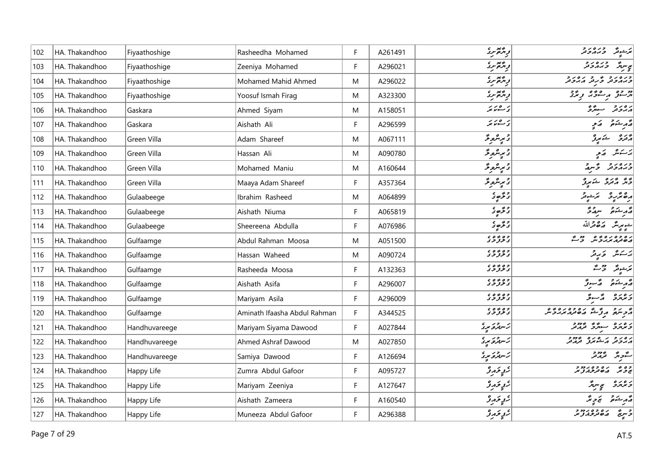| 102 | HA. Thakandhoo | Fiyaathoshige | Rasheedha Mohamed            | F         | A261491 | و پر پر<br>رگرہو سر                                       | پرَ شونگر ح پر ۱۵ د و                                |
|-----|----------------|---------------|------------------------------|-----------|---------|-----------------------------------------------------------|------------------------------------------------------|
| 103 | HA. Thakandhoo | Fiyaathoshige | Zeeniya Mohamed              | F         | A296021 | و پھر ہ<br>پر مربو سربر                                   | پی سرگر در در در                                     |
| 104 | HA. Thakandhoo | Fiyaathoshige | Mohamed Mahid Ahmed          | M         | A296022 | و پر پر<br>پر مربو سر پر                                  | ورەر د په د رەر د<br>دېرمردىر دىرىر مەددىر           |
| 105 | HA. Thakandhoo | Fiyaathoshige | Yoosuf Ismah Firag           | M         | A323300 | و پھر ہ<br>پر مربو                                        | دو وه مر مورد و پر د<br>مرسو م                       |
| 106 | HA. Thakandhoo | Gaskara       | Ahmed Siyam                  | M         | A158051 | ىر ھەرىر                                                  | بره رو سورو                                          |
| 107 | HA. Thakandhoo | Gaskara       | Aishath Ali                  | F         | A296599 | ىر ھەئەبجە                                                | أقهر شنعتى أقدمي                                     |
| 108 | HA. Thakandhoo | Green Villa   | Adam Shareef                 | M         | A067111 | <sup>ج</sup> س <sub>ي</sub> سر <sub>عر</sub> محر          | پر ده شمېر ده.<br>مرکز د شمېر د                      |
| 109 | HA. Thakandhoo | Green Villa   | Hassan Ali                   | ${\sf M}$ | A090780 | ۇ بېرىئر <sub>ى</sub> رگە<br>ئ                            | پرستانس کانو                                         |
| 110 | HA. Thakandhoo | Green Villa   | Mohamed Maniu                | M         | A160644 | <br> دىموسر <sub>ى</sub> رۇ                               | כנים ניבי ה                                          |
| 111 | HA. Thakandhoo | Green Villa   | Maaya Adam Shareef           | F.        | A357364 | دىمبەمبۇرىگە<br>ئەسىرىسىمبور                              | وَ پَر پره ځمی                                       |
| 112 | HA. Thakandhoo | Gulaabeege    | Ibrahim Rasheed              | M         | A064899 | د څه دي<br>  د څه                                         | رە ئرىر ئىسىمىتى<br>رە ئىرى                          |
| 113 | HA. Thakandhoo | Gulaabeege    | Aishath Niuma                | F         | A065819 | د و ه<br>د ژه د                                           | ה' ה' בין היה בין בין ה                              |
| 114 | HA. Thakandhoo | Gulaabeege    | Sheereena Abdulla            | F         | A076986 | د څه د                                                    | خومرمنگر <b>مَ</b> مْ قَمْرَاللّهِ                   |
| 115 | HA. Thakandhoo | Gulfaamge     | Abdul Rahman Moosa           | M         | A051500 | د ه و ه ه ،<br>د نرو د د                                  | ג ם כם גם כם מדעי.<br>גם בקה הגבית מדעיין            |
| 116 | HA. Thakandhoo | Gulfaamge     | Hassan Waheed                | M         | A090724 | د ه و ه ه ،<br>د ترتر تر                                  | پرستانئر - حاریقر                                    |
| 117 | HA. Thakandhoo | Gulfaamge     | Rasheeda Moosa               | F         | A132363 | وه پره ء<br>  د محرو د د                                  | ىرىدىر 3-ئە<br>ئ                                     |
| 118 | HA. Thakandhoo | Gulfaamge     | Aishath Asifa                | F         | A296007 | د ه و ه ه ،<br>د <del>و</del> تو <del>و</del> د           | ە ئەستىم ئەسىر                                       |
| 119 | HA. Thakandhoo | Gulfaamge     | Mariyam Asila                | F.        | A296009 | وه پ <sup>ر</sup> ه بر<br>د <del>و</del> تو و د           | ويواره ومجاندي                                       |
| 120 | HA. Thakandhoo | Gulfaamge     | Aminath Ifaasha Abdul Rahman | F         | A344525 | وه پ <sup>ر</sup> ه پ<br><sub>م</sub> حرق تر <sub>ک</sub> | ו כי הרבי הפינו בינו בים                             |
| 121 | HA. Thakandhoo | Handhuvareege | Mariyam Siyama Dawood        | F         | A027844 | ئەسەقرىر ئىچ                                              | נים נים ניירים בחבר.<br>בינו <i>ת ב</i> ניירים בנומי |
| 122 | HA. Thakandhoo | Handhuvareege | Ahmed Ashraf Dawood          | M         | A027850 | ئەسە <i>تى كى</i> رى                                      | ره ر و بر ه ره به دو و<br>پربروتر پرشوبرتی تربرتر    |
| 123 | HA. Thakandhoo | Handhuvareege | Samiya Dawood                | F         | A126694 | ئەسە <i>تى كى</i> رى                                      | سەرەر ئەدەرە                                         |
| 124 | HA. Thakandhoo | Happy Life    | Zumra Abdul Gafoor           | F.        | A095727 | ر بو <del>ت</del> ر بر ژ                                  | وه د ده وه د دو و<br>  ح ح س می هامر حمد و س         |
| 125 | HA. Thakandhoo | Happy Life    | Mariyam Zeeniya              | F         | A127647 | ر<br>موسيح مرو                                            | دەرە پېرىگە                                          |
| 126 | HA. Thakandhoo | Happy Life    | Aishath Zameera              | F         | A160540 | ئ <sub>ەبو</sub> ئەمەلۇ                                   | وكرمشكم تمحي                                         |
| 127 | HA. Thakandhoo | Happy Life    | Muneeza Abdul Gafoor         | F         | A296388 | ر بو <sub>ت</sub> و بر ژ                                  |                                                      |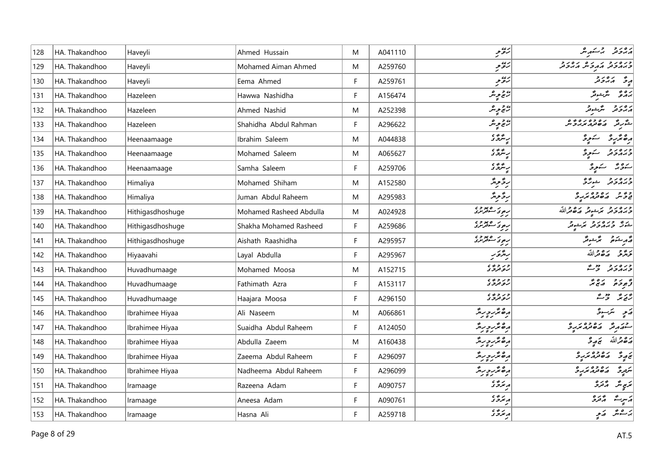| 128 | HA. Thakandhoo | Haveyli          | Ahmed Hussain           | M  | A041110 | رەيە                                 | رەرد ئەسەر                                              |
|-----|----------------|------------------|-------------------------|----|---------|--------------------------------------|---------------------------------------------------------|
| 129 | HA. Thakandhoo | Haveyli          | Mohamed Aiman Ahmed     | M  | A259760 | رەيە                                 | כמחכת התכית המכת                                        |
| 130 | HA. Thakandhoo | Haveyli          | Eema Ahmed              | F. | A259761 | ريمو                                 |                                                         |
| 131 | HA. Thakandhoo | Hazeleen         | Hawwa Nashidha          | F  | A156474 | میں موبیٹر<br>                       | رە »<br>برد ۋ<br>سُرُٹ ونگر                             |
| 132 | HA. Thakandhoo | Hazeleen         | Ahmed Nashid            | M  | A252398 | میم پیشر<br>                         | رەر ۋە ئەسىر<br>مەركىز ئىگەنىس                          |
| 133 | HA. Thakandhoo | Hazeleen         | Shahidha Abdul Rahman   | F  | A296622 | میم پیشر<br>                         | شگرنگ می ه ده د د و د و                                 |
| 134 | HA. Thakandhoo | Heenaamaage      | Ibrahim Saleem          | M  | A044838 | ر پڙو ۽<br>په                        | $rac{3}{2}$                                             |
| 135 | HA. Thakandhoo | Heenaamaage      | Mohamed Saleem          | M  | A065627 | ر پڙو ۽<br>په                        | ورەرو سەرە                                              |
| 136 | HA. Thakandhoo | Heenaamaage      | Samha Saleem            | F  | A259706 | ر پژو <sup>ي</sup>                   | سەۋە سەرە                                               |
| 137 | HA. Thakandhoo | Himaliya         | Mohamed Shiham          | M  | A152580 | رۇمۇر                                | ورەرو ئىد <i>ۇ</i> ە                                    |
| 138 | HA. Thakandhoo | Himaliya         | Juman Abdul Raheem      | M  | A295983 | رۇپەر                                | 323 - 2010 كرم<br>23 س - مەھەرمە <i>م</i> ەر            |
| 139 | HA. Thakandhoo | Hithigasdhoshuge | Mohamed Rasheed Abdulla | M  | A024928 | اره د معدود<br>اره د سوفرمرد         | وبروبرد برجونر وكامرالله                                |
| 140 | HA. Thakandhoo | Hithigasdhoshuge | Shakha Mohamed Rasheed  | F  | A259686 | <br>  ره د سود د د د<br>  ر ر        |                                                         |
| 141 | HA. Thakandhoo | Hithigasdhoshuge | Aishath Raashidha       | F  | A295957 | ر ص د و د د د<br>رح د گستور در       | ە ئەرىشكە ئەسىر ئىشرىتىگر                               |
| 142 | HA. Thakandhoo | Hiyaavahi        | Layal Abdulla           | F  | A295967 | ىرەڭرەكر                             | ترتزقر وكافرالله                                        |
| 143 | HA. Thakandhoo | Huvadhumaage     | Mohamed Moosa           | M  | A152715 | و ر و ر ء<br>ر ه مرو د               | وره دو دور                                              |
| 144 | HA. Thakandhoo | Huvadhumaage     | Fathimath Azra          | F  | A153117 | و ر و د »<br>ر ه ترو د               | وٌمِوَدَةٌ مَعْ يَدُّ                                   |
| 145 | HA. Thakandhoo | Huvadhumaage     | Haajara Moosa           | F. | A296150 | و ر و د »<br>ر ه ترو د               | وروا الملاحي                                            |
| 146 | HA. Thakandhoo | Ibrahimee Hiyaa  | Ali Naseem              | M  | A066861 | ەھ ئەرىرىدە<br>رە                    | ړی پرېږ                                                 |
| 147 | HA. Thakandhoo | Ibrahimee Hiyaa  | Suaidha Abdul Raheem    | F  | A124050 | ەھترىرىدىگر<br>سامىيە                | ره وه ره<br>پره تربر تر<br>شىمە ئەر<br>سىنە ئەر         |
| 148 | HA. Thakandhoo | Ibrahimee Hiyaa  | Abdulla Zaeem           | M  | A160438 | ەھ ئەرىرىدە<br>ر                     | رە داللە ئەرد                                           |
| 149 | HA. Thakandhoo | Ibrahimee Hiyaa  | Zaeema Abdul Raheem     | F  | A296097 | ە ھەممەر جەرىتر<br>س                 | COSON COSOL                                             |
| 150 | HA. Thakandhoo | Ibrahimee Hiyaa  | Nadheema Abdul Raheem   | F  | A296099 | ەھ ئەرىرىدىگە<br>سامىق سىمىس         | سرپور <sup>ي</sup><br>په<br>ره وه د ره<br>پره تربر تربر |
| 151 | HA. Thakandhoo | Iramaage         | Razeena Adam            | F  | A090757 | د بوره د<br>م بورگ                   | ىمەسچە ئىگر<br>پور ہ<br>پرترو                           |
| 152 | HA. Thakandhoo | Iramaage         | Aneesa Adam             | F. | A090761 | ويرًوء                               | پور ہ<br>مرکزو<br>ړ س <sub>ری</sub> ته<br>په            |
| 153 | HA. Thakandhoo | Iramaage         | Hasna Ali               | F  | A259718 | بر بر بر بر<br>بر بر <del>گ</del> ری | پرهنگ اړمو                                              |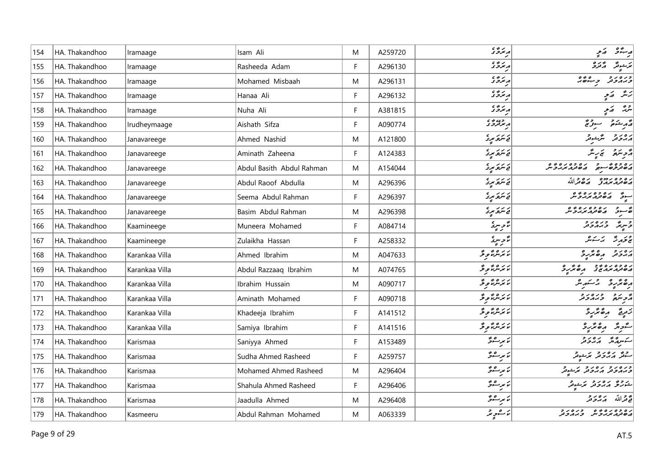| 154 | HA. Thakandhoo | Iramaage       | Isam Ali                  | M           | A259720 | د بوره د<br>م بورگ                 | $rac{22}{\frac{2}{\sqrt{2}}}$<br>ەتىر                                |
|-----|----------------|----------------|---------------------------|-------------|---------|------------------------------------|----------------------------------------------------------------------|
| 155 | HA. Thakandhoo | Iramaage       | Rasheeda Adam             | $\mathsf F$ | A296130 | <br>  بر برد د                     | لىمەشىقىر<br>ەردە                                                    |
| 156 | HA. Thakandhoo | Iramaage       | Mohamed Misbaah           | M           | A296131 | بر پر دی                           | وجهض<br>و ر ه ر و<br>و بر پر <del>و</del> تر                         |
| 157 | HA. Thakandhoo | Iramaage       | Hanaa Ali                 | F           | A296132 | پر پر دی                           | زیگر انھاجے                                                          |
| 158 | HA. Thakandhoo | Iramaage       | Nuha Ali                  | $\mathsf F$ | A381815 | پر ترم ء                           | التربح أورمج                                                         |
| 159 | HA. Thakandhoo | Irudheymaage   | Aishath Sifza             | F           | A090774 | د وړ.<br>د مرتزو د                 | و مرشوم سورمج<br>مرشوم ر                                             |
| 160 | HA. Thakandhoo | Janavareege    | Ahmed Nashid              | M           | A121800 | ئے سَرَ تَد سِرِ تَہ               | رە رو شىشەتر<br><i>م.ئ</i> ەر تىر                                    |
| 161 | HA. Thakandhoo | Janavareege    | Aminath Zaheena           | E           | A124383 | ر<br>نج مترک <sub>م</sub> سمیرند   | أأروبترة تجربتر                                                      |
| 162 | HA. Thakandhoo | Janavareege    | Abdul Basith Abdul Rahman | M           | A154044 | <br>  نے سرعہ سریحہ                | ر ه د ه ر ه ر ه<br>پره تر پر برگر<br>ر ٥ ۶ ٥ ٥ م.<br>پرچانر پژنڅ سوچ |
| 163 | HA. Thakandhoo | Janavareege    | Abdul Raoof Abdulla       | M           | A296396 | ئے مترکھ سریحہ                     | ر ۵ ۶ و ۵ روده<br>هرچوبر بوبر و<br>صقعرالله                          |
| 164 | HA. Thakandhoo | Janavareege    | Seema Abdul Rahman        | F           | A296397 | ئے مترکھ سریحہ                     | ر ه ده ره ده و.<br>پره تربر تر تر<br>سوش                             |
| 165 | HA. Thakandhoo | Janavareege    | Basim Abdul Rahman        | M           | A296398 | <br>  نئے سرچ سرچ                  | ر ٥ ۶ ٥ ٥ ٥ ٥ ٩<br>پرې تر پر بر تر س<br>ة<br>قاسىرتى                 |
| 166 | HA. Thakandhoo | Kaamineege     | Muneera Mohamed           | F           | A084714 | ام <sup>ت</sup> احر سرتد<br>مسلم   | و ره ر د<br>تر <i>پر</i> وتر<br>ۇ سېڭە                               |
| 167 | HA. Thakandhoo | Kaamineege     | Zulaikha Hassan           | F           | A258332 | مۇجەسىدى<br>سىرىيە                 | چ ئۇ م <sup>ەش</sup><br>برسەمىر                                      |
| 168 | HA. Thakandhoo | Karankaa Villa | Ahmed Ibrahim             | M           | A047633 | ر ر <sub>ە</sub> ر ئەرگە           | ر ە ر د<br>م.رى<br>ەھ ئۆر ۋ                                          |
| 169 | HA. Thakandhoo | Karankaa Villa | Abdul Razzaaq Ibrahim     | M           | A074765 | <br>  ئەئىرىدىدىن <sub>جو</sub> ڭر | נס כס נס מה כם מים ה                                                 |
| 170 | HA. Thakandhoo | Karankaa Villa | Ibrahim Hussain           | M           | A090717 | ئەئەرىئ <sup>ى</sup> بو قە         | رە ئەر ئەسىر ئىر                                                     |
| 171 | HA. Thakandhoo | Karankaa Villa | Aminath Mohamed           | F           | A090718 | ئەئەرىئ <sup>ى</sup> بو قە         | وشريده<br>و ره ر و<br>تر پروتر                                       |
| 172 | HA. Thakandhoo | Karankaa Villa | Khadeeja Ibrahim          | F           | A141512 | ر برە ئە <sub>ر</sub> ئە           | ترىرچَّ<br>مەھمەرچ                                                   |
| 173 | HA. Thakandhoo | Karankaa Villa | Samiya Ibrahim            | F           | A141516 | ر برە ئە <sub>ر</sub> ئە           | ە ھەترىرى<br>سەّحەر                                                  |
| 174 | HA. Thakandhoo | Karismaa       | Saniyya Ahmed             | F           | A153489 | تأبر مشرشة                         | سكسماء برورد                                                         |
| 175 | HA. Thakandhoo | Karismaa       | Sudha Ahmed Rasheed       | F           | A259757 | تأمر سفرقه                         | ر ده بره بر بر شوتر<br>سنگر مربر د تر بر شوتر                        |
| 176 | HA. Thakandhoo | Karismaa       | Mohamed Ahmed Rasheed     | M           | A296404 | تأمر سفرقه                         | ورەرو رەرو كرىيوتر                                                   |
| 177 | HA. Thakandhoo | Karismaa       | Shahula Ahmed Rasheed     | F           | A296406 | ئە بىر س <sup>ە</sup> ئە           | كاركاني أوراك أوالمحافظ                                              |
| 178 | HA. Thakandhoo | Karismaa       | Jaadulla Ahmed            | M           | A296408 | تأبر مشرشة                         | قَے قراللّٰہ بر 25فر                                                 |
| 179 | HA. Thakandhoo | Kasmeeru       | Abdul Rahman Mohamed      | M           | A063339 | ئەشقە چە                           | ره وه ره ده مدر و در ور<br>پره تربر تر سر مدر و تر                   |
|     |                |                |                           |             |         |                                    |                                                                      |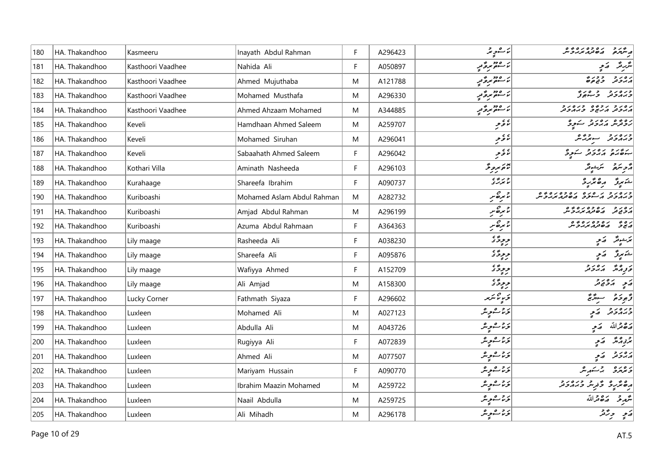| 180 | HA. Thakandhoo | Kasmeeru          | Inayath Abdul Rahman       | F           | A296423 | ئە س <sup>ە</sup> جە ئىر                    | ره وه ره د ه<br>پره تربر تر تر<br>لەپترىزچ                                |
|-----|----------------|-------------------|----------------------------|-------------|---------|---------------------------------------------|---------------------------------------------------------------------------|
| 181 | HA. Thakandhoo | Kasthoori Vaadhee | Nahida Ali                 | E           | A050897 | ر مدد بر<br>با سوم بره در                   | يتزرقن الأمي                                                              |
| 182 | HA. Thakandhoo | Kasthoori Vaadhee | Ahmed Mujuthaba            | M           | A121788 | ر مەددىرى<br>ئەسسوم بىرەگ <sup>ە</sup> ئە   | נ סינ - בני ב<br>הגבת בבקים                                               |
| 183 | HA. Thakandhoo | Kasthoori Vaadhee | Mohamed Musthafa           | M           | A296330 | ر ۶۶۵ وري.<br>ما سنفو مرغ فير               | ورەرو وەرد<br>جەمەدىر كەسپىرۇ                                             |
| 184 | HA. Thakandhoo | Kasthoori Vaadhee | Ahmed Ahzaam Mohamed       | M           | A344885 | ر مدد برگرور<br>مذاهد مرگرور                | נסגר גרשם רגסגר<br>ג'אבע ג'משכ כ'אמכע                                     |
| 185 | HA. Thakandhoo | Keveli            | Hamdhaan Ahmed Saleem      | M           | A259707 | تذعرمه                                      | رەپ رەرد سے دو                                                            |
| 186 | HA. Thakandhoo | Keveli            | Mohamed Siruhan            | M           | A296041 | ، ء<br>موڪو                                 | ورەرو سىرتەش                                                              |
| 187 | HA. Thakandhoo | Keveli            | Sabaahath Ahmed Saleem     | F           | A296042 | ، ء و<br>موحو                               | بنصره رورد بنوو                                                           |
| 188 | HA. Thakandhoo | Kothari Villa     | Aminath Nasheeda           | F           | A296103 | بىز<br>ئامۇمرەرىخە                          | أأترح يتكفى التكريشوند                                                    |
| 189 | HA. Thakandhoo | Kurahaage         | Shareefa Ibrahim           | F           | A090737 | د ر و ،<br>ما برگ                           | دە ئەرد<br> شەمرىژ                                                        |
| 190 | HA. Thakandhoo | Kuriboashi        | Mohamed Aslam Abdul Rahman | M           | A282732 | د<br>ما موھ <sup>م</sup> ر                  | ورہ ر و ر ہے دہ رہ وہ رہ ہے ہ<br>وبرارونر ار سور ارص ترار <i>بربر و</i> س |
| 191 | HA. Thakandhoo | Kuriboashi        | Amjad Abdul Rahman         | M           | A296199 | لأبرة مر                                    | ره وه ره ده.<br>پره تربر تر تر<br>ر ە ر د<br>مەرىخ تىر                    |
| 192 | HA. Thakandhoo | Kuriboashi        | Azuma Abdul Rahmaan        | F           | A364363 | لأعرضو                                      | ر ه و ه ر ه د ه<br>پره تر پر <i>پر</i> چ<br>ر ه بو<br>پرس پ               |
| 193 | HA. Thakandhoo | Lily maage        | Rasheeda Ali               | $\mathsf F$ | A038230 | ووژگ<br>رئ                                  | أنكر شوقد أأكدمي                                                          |
| 194 | HA. Thakandhoo | Lily maage        | Shareefa Ali               | F           | A095876 | ووژگی<br>رئ                                 | التكليرق الكامج                                                           |
| 195 | HA. Thakandhoo | Lily maage        | Wafiyya Ahmed              | $\mathsf F$ | A152709 | ووڈ ڈ<br>ر                                  | ورويز<br>رەر د<br>مەرى                                                    |
| 196 | HA. Thakandhoo | Lily maage        | Ali Amjad                  | M           | A158300 | ووژگی<br>رئ                                 | أوسمي أوكوفر                                                              |
| 197 | HA. Thakandhoo | Lucky Corner      | Fathmath Siyaza            | F           | A296602 | ۇربەتكە                                     | سى پەرىج<br>وٌجوحَ ح                                                      |
| 198 | HA. Thakandhoo | Luxleen           | Mohamed Ali                | M           | A027123 | <mark>ئەز ش</mark> وپىر                     | و رە ر د<br><i>د بر</i> پر تر<br>ەتىر                                     |
| 199 | HA. Thakandhoo | Luxleen           | Abdulla Ali                | M           | A043726 | <br>  <sub>خرنم</sub> ر <sub>ے موب</sub> تر | ەھىراللە<br>ەتىر                                                          |
| 200 | HA. Thakandhoo | Luxleen           | Rugiyya Ali                | F           | A072839 | ئەر ئەھمەيە                                 | بر <sub>و</sub> م پر کرم                                                  |
| 201 | HA. Thakandhoo | Luxleen           | Ahmed Ali                  | M           | A077507 | <mark>ئەن</mark> ش <sub>ىر تى</sub> ر       | أزه دو المحمو                                                             |
| 202 | HA. Thakandhoo | Luxleen           | Mariyam Hussain            | F           | A090770 | <mark>ئر ئ</mark> ەھمە پەشر                 | دەرە جەكتەش                                                               |
| 203 | HA. Thakandhoo | Luxleen           | Ibrahim Maazin Mohamed     | M           | A259722 | ئەنزىشقە يەشر                               | ره و دره در در در در د                                                    |
| 204 | HA. Thakandhoo | Luxleen           | Naail Abdulla              | M           | A259725 | <mark>ئەز ش</mark> وپىر                     | مَە قراللّه<br>مثمر خم                                                    |
| 205 | HA. Thakandhoo | Luxleen           | Ali Mihadh                 | M           | A296178 | ىز ئەھمە يەشر                               | ړې د پژند                                                                 |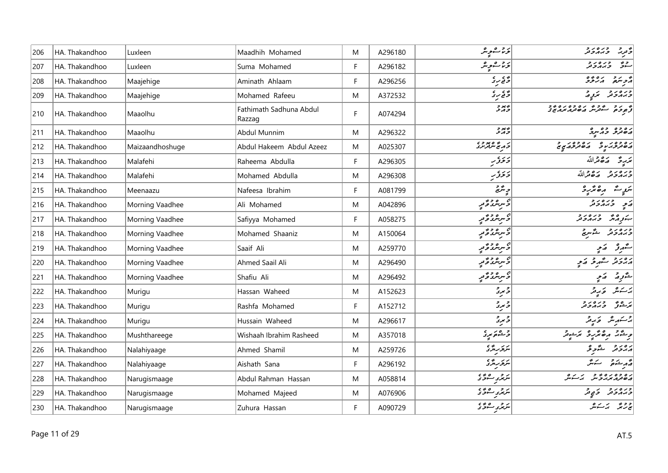| 206 | HA. Thakandhoo | Luxleen         | Maadhih Mohamed                   | M         | A296180 | ئەنزىشقە يەشر                                                        | و رە ر د<br>تر پر تر تر<br>ر تور پر<br> <br>م      |
|-----|----------------|-----------------|-----------------------------------|-----------|---------|----------------------------------------------------------------------|----------------------------------------------------|
| 207 | HA. Thakandhoo | Luxleen         | Suma Mohamed                      | F         | A296182 | ىز ئەر شەر بىر                                                       | رحيحة<br>و ره ر د<br>تر پر ژنر                     |
| 208 | HA. Thakandhoo | Maajehige       | Aminath Ahlaam                    | F         | A296256 | ی ځ مر ځ<br>خ فع مر ځ                                                | ەرەپەە<br>ړځ ښه                                    |
| 209 | HA. Thakandhoo | Maajehige       | Mohamed Rafeeu                    | M         | A372532 | ه په ري<br>تر فع مر تر                                               | وره دو کرد                                         |
| 210 | HA. Thakandhoo | Maaolhu         | Fathimath Sadhuna Abdul<br>Razzag | F         | A074294 | پر بر و<br>و <i>۸</i> در                                             | ه د د په د د د ده ده ده د                          |
| 211 | HA. Thakandhoo | Maaolhu         | Abdul Munnim                      | ${\sf M}$ | A296322 | پر بر و<br>و <i>۸</i> در                                             | גפיפ כפית                                          |
| 212 | HA. Thakandhoo | Maizaandhoshuge | Abdul Hakeem Abdul Azeez          | M         | A025307 | <br>  د مړيځ مربر پرې                                                | גם כפגם פיס כפר הפריק ה                            |
| 213 | HA. Thakandhoo | Malafehi        | Raheema Abdulla                   | F         | A296305 | 5 ئۇ ئۈ                                                              | بمبرءً صقعدالله                                    |
| 214 | HA. Thakandhoo | Malafehi        | Mohamed Abdulla                   | M         | A296308 | 5 كۇر                                                                | وره رو رووالله                                     |
| 215 | HA. Thakandhoo | Meenaazu        | Nafeesa Ibrahim                   | F.        | A081799 | حریثر پر                                                             | ىئرىپ مەھمەر                                       |
| 216 | HA. Thakandhoo | Morning Vaadhee | Ali Mohamed                       | M         | A042896 | ە بىر بىرى ئۆلىر<br>قەسر بىرى ئۆلىر                                  | 5,0,0,0,0,0,0,0,0                                  |
| 217 | HA. Thakandhoo | Morning Vaadhee | Safiyya Mohamed                   | F         | A058275 | ئۇسرىتى <sub>مى</sub> ئەرەپ                                          | התנהל בגםנב                                        |
| 218 | HA. Thakandhoo | Morning Vaadhee | Mohamed Shaaniz                   | M         | A150064 | <i>مي سر پر چ</i> حميد<br>حر سر پسر چ حميد                           | ورەرو شەر                                          |
| 219 | HA. Thakandhoo | Morning Vaadhee | Saaif Ali                         | M         | A259770 | ئۇسرىتى <sub>دى</sub> ئەس                                            | شهرو الأمير                                        |
| 220 | HA. Thakandhoo | Morning Vaadhee | Ahmed Saail Ali                   | M         | A296490 | ە سەرە جەمدىر<br>مەسرىلىمى قى                                        | ړه د د عمرو کم                                     |
| 221 | HA. Thakandhoo | Morning Vaadhee | Shafiu Ali                        | M         | A296492 | ە بىر بىرى ئۇ تېر                                                    | لتشورها أركمي                                      |
| 222 | HA. Thakandhoo | Murigu          | Hassan Waheed                     | M         | A152623 | و بر د<br>تر برد                                                     | أرْسَدْهِ أَوْرِيْرُ                               |
| 223 | HA. Thakandhoo | Murigu          | Rashfa Mohamed                    | F         | A152712 | و<br>ومرد                                                            | برعاق ورەرو                                        |
| 224 | HA. Thakandhoo | Murigu          | Hussain Waheed                    | M         | A296617 | و<br>و بو د                                                          | اير ستمبر شر تد تر تر<br>ا                         |
| 225 | HA. Thakandhoo | Mushthareege    | Wishaah Ibrahim Rasheed           | M         | A357018 | و شوېر په <sup>پ</sup> ه                                             | وشر وهنرو برشور                                    |
| 226 | HA. Thakandhoo | Nalahiyaage     | Ahmed Shamil                      | M         | A259726 | سر تر بر بر می<br>سر تر بر بر                                        | دەرو ھۇرۇ                                          |
| 227 | HA. Thakandhoo | Nalahiyaage     | Aishath Sana                      | F.        | A296192 | يرۇرېژى                                                              | ۇرىشكۇ سىگە                                        |
| 228 | HA. Thakandhoo | Narugismaage    | Abdul Rahman Hassan               | M         | A058814 | ىر چ <sub>ە چە</sub> جەم ي                                           | ره ده ده د د به برگرام<br>مان در برگرامبر برگرامبر |
| 229 | HA. Thakandhoo | Narugismaage    | Mohamed Majeed                    | M         | A076906 | ىر ترى <sub>ر</sub> 9 م <sup>ى</sup> رى<br>سرىرى <sub>ر</sub> سىرىرى | ورەر ئەي                                           |
| 230 | HA. Thakandhoo | Narugismaage    | Zuhura Hassan                     | F         | A090729 | اير د په ۱۶۶۵ کېږي.<br>سرچر <sub>ې مس</sub> ورۍ                      | چرچو پر پر پیش                                     |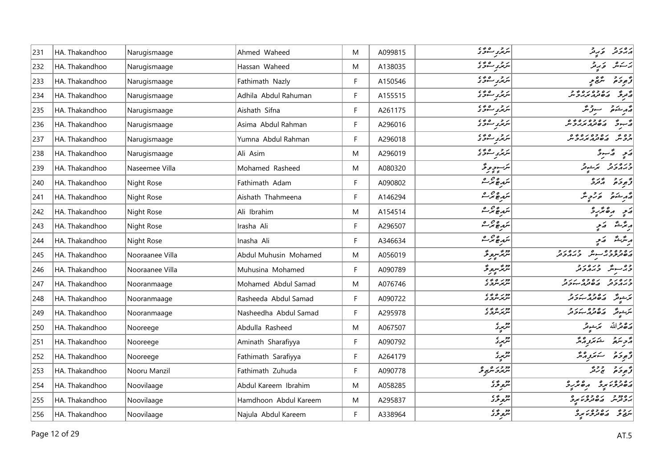| 231 | HA. Thakandhoo | Narugismaage    | Ahmed Waheed          | M         | A099815 | ىر پرې <sub>م</sub> رەپ<br>ئىر <i>پرېم</i> | برور و در د                                                  |
|-----|----------------|-----------------|-----------------------|-----------|---------|--------------------------------------------|--------------------------------------------------------------|
| 232 | HA. Thakandhoo | Narugismaage    | Hassan Waheed         | M         | A138035 |                                            | يزستانش الكابداتي                                            |
| 233 | HA. Thakandhoo | Narugismaage    | Fathimath Nazly       | F.        | A150546 | ىئەترى <sub>ر</sub> 9 ° ° °                | يتوجو<br>ۇ بور د                                             |
| 234 | HA. Thakandhoo | Narugismaage    | Adhila Abdul Rahuman  | F.        | A155515 | ير چ <sub>رم</sub> مور ۽ م                 | ره وه ره د و<br>په ه تو پر بر بر س<br>ەر ئەر                 |
| 235 | HA. Thakandhoo | Narugismaage    | Aishath Sifna         | F         | A261175 | ىر پرې <sub>م</sub> رەپ<br>ئىر <i>پرېم</i> | ۇرىشكە سىۋىتر                                                |
| 236 | HA. Thakandhoo | Narugismaage    | Asima Abdul Rahman    | F         | A296016 | ىر پرې <sub>م</sub> رەپ<br>ئىر <i>پرېم</i> | ر ه د ه ه ر ه د ه<br>پره تر پر بر تر س<br>رصية               |
| 237 | HA. Thakandhoo | Narugismaage    | Yumna Abdul Rahman    | F         | A296018 | ىئەترى <sub>ر</sub> مەممى                  | ره وه ره ده.<br>په هنرم بربر تر س<br>د ه و.<br>در س          |
| 238 | HA. Thakandhoo | Narugismaage    | Ali Asim              | ${\sf M}$ | A296019 | ىر تر <sub>ىر</sub> مەمۇرى<br>مىرىس سىرىرى | ړې په شود                                                    |
| 239 | HA. Thakandhoo | Naseemee Villa  | Mohamed Rasheed       | M         | A080320 | ىئرسوچە بۇ                                 | و ره رو در برشونر<br>د برابر د بر                            |
| 240 | HA. Thakandhoo | Night Rose      | Fathimath Adam        | F         | A090802 | بتروغيث                                    | توالج وأنجابهم وأندره                                        |
| 241 | HA. Thakandhoo | Night Rose      | Aishath Thahmeena     | F.        | A146294 | يئد ۽ عرث                                  | و د شو د د د پر                                              |
| 242 | HA. Thakandhoo | Night Rose      | Ali Ibrahim           | M         | A154514 | لتروهيت                                    |                                                              |
| 243 | HA. Thakandhoo | Night Rose      | Irasha Ali            | F.        | A296507 | تتميضي                                     | وبڑتے<br>ەتىر                                                |
| 244 | HA. Thakandhoo | Night Rose      | Inasha Ali            | F         | A346634 | يتروحون                                    | أرشيش أرمح                                                   |
| 245 | HA. Thakandhoo | Nooraanee Villa | Abdul Muhusin Mohamed | M         | A056019 | =<br> سرپرٌ سره مَرَّ                      | נסכסכם בם כנסנב<br>השתיכה יית כמהכת                          |
| 246 | HA. Thakandhoo | Nooraanee Villa | Muhusina Mohamed      | F         | A090789 | يزېژ <sub>مبرو</sub> ئ <sup>و</sup>        | وه سر وره دو                                                 |
| 247 | HA. Thakandhoo | Nooranmaage     | Mohamed Abdul Samad   | M         | A076746 | دد ر ه و ،<br>سرپرسرچ ی                    | כנסני נספס נני<br><i>כג</i> ו <i>גיב</i> ומסמו <i>ג</i> -יכנ |
| 248 | HA. Thakandhoo | Nooranmaage     | Rasheeda Abdul Samad  | F.        | A090722 | دد بر ۵ پر پر<br>سرچر سرچر <sub>ک</sub>    | ر<br>برخوتر د <i>ه در ۱۳۶۸ ب</i> رو تر                       |
| 249 | HA. Thakandhoo | Nooranmaage     | Nasheedha Abdul Samad | F.        | A295978 | دور ه د »<br>سرپرسرچر                      | س شوتر ده وه رر د<br>س شوتر ده مهر دستوتر                    |
| 250 | HA. Thakandhoo | Nooreege        | Abdulla Rasheed       | M         | A067507 | دد<br>مترسمو بر                            | مَدْ حَمْرَاللّه مَرْسُومَرْ                                 |
| 251 | HA. Thakandhoo | Nooreege        | Aminath Sharafiyya    | F         | A090792 | دد<br>مترسری                               | أأدبتكم فتكروا                                               |
| 252 | HA. Thakandhoo | Nooreege        | Fathimath Sarafiyya   | F.        | A264179 | دد<br>مترسمور                              | تؤودة سنتروه يؤ                                              |
| 253 | HA. Thakandhoo | Nooru Manzil    | Fathimath Zuhuda      | F         | A090778 | يز بر بر عربو محر                          | و دو دور                                                     |
| 254 | HA. Thakandhoo | Noovilaage      | Abdul Kareem Ibrahim  | M         | A058285 | دد په په<br>سر <sub>حو</sub> مرد           | גפנקע בכ תפתיק                                               |
| 255 | HA. Thakandhoo | Noovilaage      | Hamdhoon Abdul Kareem | M         | A295837 | دد پر پر<br>سر <sub>گر</sub> بر پر         | ג סמר ד' ג ס ר ס ג ס<br>ג קנית השנית מיקר                    |
| 256 | HA. Thakandhoo | Noovilaage      | Najula Abdul Kareem   | F         | A338964 | دد<br>متر <sub>جو</sub> بحری               | روي دەۋەر دە                                                 |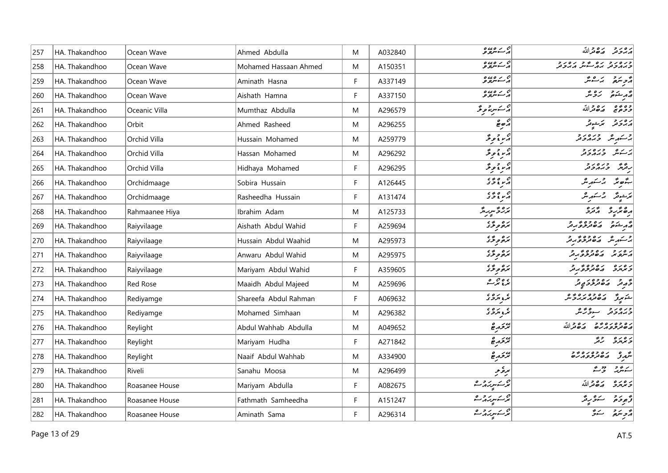| 257 | HA. Thakandhoo | Ocean Wave     | Ahmed Abdulla         | M           | A032840 | ج پر ويږ و<br>مر سورلو لو                    | برەرو برەقراللە                                         |
|-----|----------------|----------------|-----------------------|-------------|---------|----------------------------------------------|---------------------------------------------------------|
| 258 | HA. Thakandhoo | Ocean Wave     | Mohamed Hassaan Ahmed | M           | A150351 | ہم پر وی ہ<br>مر شور کو                      | وره رو بره به و بره رو<br><i>وبرو</i> وتر بروسوس وبروتر |
| 259 | HA. Thakandhoo | Ocean Wave     | Aminath Hasna         | F           | A337149 | م بر وړه ه<br>مرغبونو                        | ړ د سرچ پر کامگر                                        |
| 260 | HA. Thakandhoo | Ocean Wave     | Aishath Hamna         | F           | A337150 | ج پر ويره<br>مرڪبوبو                         | ۇرىشقى كەھ                                              |
| 261 | HA. Thakandhoo | Oceanic Villa  | Mumthaz Abdulla       | M           | A296579 | ە سەسرىنى ئەقە                               | وه وه بروورالله                                         |
| 262 | HA. Thakandhoo | Orbit          | Ahmed Rasheed         | M           | A296255 | $\overset{\circ}{e}$ $\overset{\circ}{\sim}$ | د ه د چې سخندونکر<br>  د برخونکر په سخت پخت             |
| 263 | HA. Thakandhoo | Orchid Villa   | Hussain Mohamed       | M           | A259779 | ەر بە ئ <sub>ەر</sub> ئە                     | بر شهر وره دو                                           |
| 264 | HA. Thakandhoo | Orchid Villa   | Hassan Mohamed        | M           | A296292 | ە بەر قوڭر                                   | يركس وره رو                                             |
| 265 | HA. Thakandhoo | Orchid Villa   | Hidhaya Mohamed       | $\mathsf F$ | A296295 | ە بە دېمۇ ئە                                 | ری وره دو                                               |
| 266 | HA. Thakandhoo | Orchidmaage    | Sobira Hussain        | F           | A126445 |                                              | بتوفة بالترس                                            |
| 267 | HA. Thakandhoo | Orchidmaage    | Rasheedha Hussain     | F           | A131474 | ه و و و و<br>مربو د د                        | ىرىدۇر ئاسكىرىك                                         |
| 268 | HA. Thakandhoo | Rahmaanee Hiya | Ibrahim Adam          | M           | A125733 | ىر 2 تەرىر بىر<br>مەركە                      | وه پڑرو<br>پر ہ<br>مرکز                                 |
| 269 | HA. Thakandhoo | Raiyvilaage    | Aishath Abdul Wahid   | F           | A259694 | ر ه<br>بره د د د                             | ه در ده ده وه به د<br>در شوی در محترفری در              |
| 270 | HA. Thakandhoo | Raiyvilaage    | Hussain Abdul Waahid  | M           | A295973 | ره<br>مر <sub>حوم</sub> ونړ                  | ج کور مرہ وہ ہو ۔<br>پر کورمر ملے مرکز کورمر            |
| 271 | HA. Thakandhoo | Raiyvilaage    | Anwaru Abdul Wahid    | M           | A295975 | بره و پر ،<br>مر <sub>حو</sub> مونځر         | ر ۲۵۶۵ ده ۲۵۶۵ و.<br>مسروس مصر ده در در                 |
| 272 | HA. Thakandhoo | Raiyvilaage    | Mariyam Abdul Wahid   | F           | A359605 | ره<br>مر <sub>حو</sub> مونور                 | נ סנס נספסת ב<br>כמתכ השנתפתית                          |
| 273 | HA. Thakandhoo | Red Rose       | Maaidh Abdul Majeed   | M           | A259696 | <sup>ي ە ە</sup> بۇر ھ                       | د در ماه ده د د د                                       |
| 274 | HA. Thakandhoo | Rediyamge      | Shareefa Abdul Rahman | F           | A069632 | ړ ده ده<br>مرغ درو د                         | ره وه ره ده و.<br>پره تربر تر س<br>ىشكىرۇگ              |
| 275 | HA. Thakandhoo | Rediyamge      | Mohamed Simhaan       | M           | A296382 | ه<br>مرو مرو د                               | ورەرو سورتىر                                            |
| 276 | HA. Thakandhoo | Reylight       | Abdul Wahhab Abdulla  | M           | A049652 | ترىخەرچ                                      | ره وه ره دو در ده و الله                                |
| 277 | HA. Thakandhoo | Reylight       | Mariyam Hudha         | $\mathsf F$ | A271842 | يرورة                                        | رەرە دېر                                                |
| 278 | HA. Thakandhoo | Reylight       | Naaif Abdul Wahhab    | M           | A334900 | ترىخەرچ                                      | ر ه و ه ر ه د و<br>پره تر پر در ص<br>ىتىدۇ              |
| 279 | HA. Thakandhoo | Riveli         | Sanahu Moosa          | M           | A296499 | برءٌ م                                       | سەتەر<br>دين مشر                                        |
| 280 | HA. Thakandhoo | Roasanee House | Mariyam Abdulla       | F           | A082675 | ى<br>ئىر سەس <sub>ى</sub> رىر قراشە          | صقعرالله<br>ر ه ر ه<br><del>ر</del> بربرگ               |
| 281 | HA. Thakandhoo | Roasanee House | Fathmath Samheedha    | F           | A151247 | ج <sub>ى</sub> سە <sub>سىرىكە</sub> ر م      | ۇ بوخ <sub>ى</sub> م<br>ئەۋرى <i>د</i>                  |
| 282 | HA. Thakandhoo | Roasanee House | Aminath Sama          | F           | A296314 | ىر سە <sub>سىرىكە</sub> ر م                  | سەنىچ<br>ە ئە ئەسكەتى                                   |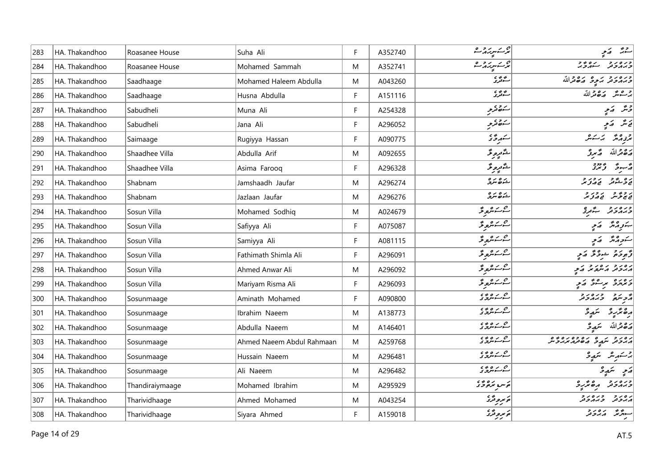| 283 | HA. Thakandhoo | Roasanee House  | Suha Ali                  | F           | A352740 | چرىسە <sub>سو</sub> رى <sub>د</sub> ىر م | سترش ارتمانی                                           |
|-----|----------------|-----------------|---------------------------|-------------|---------|------------------------------------------|--------------------------------------------------------|
| 284 | HA. Thakandhoo | Roasanee House  | Mohamed Sammah            | M           | A352741 | ى<br>ئىرىسەس <i>ىرىدە</i> مە             | כנסג כנסג<br><i>כג</i> ובע הובג                        |
| 285 | HA. Thakandhoo | Saadhaage       | Mohamed Haleem Abdulla    | M           | A043260 | ر د د د                                  | ورەرو بروە كەھىراللە                                   |
| 286 | HA. Thakandhoo | Saadhaage       | Husna Abdulla             | F           | A151116 | ر پیچه به<br>سنگ <sup>و</sup> گری        | جرع محر مركاة محمدالله                                 |
| 287 | HA. Thakandhoo | Sabudheli       | Muna Ali                  | $\mathsf F$ | A254328 | سكەڭدىر                                  | جنگر انگام په                                          |
| 288 | HA. Thakandhoo | Sabudheli       | Jana Ali                  | $\mathsf F$ | A296052 | ئەھ تىرىبە                               | لئے شہر کھیے                                           |
| 289 | HA. Thakandhoo | Saimaage        | Rugiyya Hassan            | F           | A090775 | ستهردتمى                                 |                                                        |
| 290 | HA. Thakandhoo | Shaadhee Villa  | Abdulla Arif              | M           | A092655 | ىشەرە ئۇ<br>ئ                            | مَصْعَراللّه مُحْسِرُ                                  |
| 291 | HA. Thakandhoo | Shaadhee Villa  | Asima Farooq              | F           | A296328 | ڪ <sup>ي</sup> وپروگر                    | ۇسوۇ ۋىزد                                              |
| 292 | HA. Thakandhoo | Shabnam         | Jamshaadh Jaufar          | M           | A296274 | شەھ بىرە                                 | ره شور در در د<br>ای ژشتونر نے <i>ماؤ</i> ند           |
| 293 | HA. Thakandhoo | Shabnam         | Jazlaan Jaufar            | M           | A296276 | شەھ بىرە                                 | روژیژ پرورو                                            |
| 294 | HA. Thakandhoo | Sosun Villa     | Mohamed Sodhiq            | M           | A024679 | <u>شر سەھرىچە</u>                        | ورەرو ھور                                              |
| 295 | HA. Thakandhoo | Sosun Villa     | Safiyya Ali               | F           | A075087 | 2 سەنلى <sub>رى</sub> ئە                 | بتوردش كالمح                                           |
| 296 | HA. Thakandhoo | Sosun Villa     | Samiyya Ali               | F           | A081115 | <u>شەسە ئىرو ئ</u>                       | سكردانة الأمر                                          |
| 297 | HA. Thakandhoo | Sosun Villa     | Fathimath Shimla Ali      | F           | A296091 | <u>ش ئەسرىدۇ.</u>                        | ومجارد المستوفر أيامي                                  |
| 298 | HA. Thakandhoo | Sosun Villa     | Ahmed Anwar Ali           | M           | A296092 | 2 سەمبىرى <i>م</i> ۇ                     |                                                        |
| 299 | HA. Thakandhoo | Sosun Villa     | Mariyam Risma Ali         | F           | A296093 | مەسە يىلى <sub>م</sub> ۇ                 | دورو برےوٌ ړَی                                         |
| 300 | HA. Thakandhoo | Sosunmaage      | Aminath Mohamed           | F           | A090800 | <u>م ئەيۋې ئ</u>                         | و دره دره در                                           |
| 301 | HA. Thakandhoo | Sosunmaage      | Ibrahim Naeem             | M           | A138773 | <u>م بەرە جە</u>                         | وە ئۆرۈ<br>سمدقر                                       |
| 302 | HA. Thakandhoo | Sosunmaage      | Abdulla Naeem             | M           | A146401 | <u>م ئەشرىقى </u>                        | حَدَّة مَعْرَبَة مِنْ اللهِ                            |
| 303 | HA. Thakandhoo | Sosunmaage      | Ahmed Naeem Abdul Rahmaan | M           | A259768 | <u>م ئەشرىرى</u>                         | ره ر و مر و مروج دره ده<br>پر دونر سمد و پره تربر تر س |
| 304 | HA. Thakandhoo | Sosunmaage      | Hussain Naeem             | M           | A296481 | <u>مى ئەمرىرى</u>                        | يز شەر شەر ئىكتار                                      |
| 305 | HA. Thakandhoo | Sosunmaage      | Ali Naeem                 | M           | A296482 | <u>م بەرەپ ئ</u>                         | أرادي التكرير وهي                                      |
| 306 | HA. Thakandhoo | Thandiraiymaage | Mohamed Ibrahim           | M           | A295929 | ە ئىسىم ئىرە دى                          | כנסנד נפינים                                           |
| 307 | HA. Thakandhoo | Tharividhaage   | Ahmed Mohamed             | M           | A043254 | ئە ئىرە قرى<br>م                         | و ر ه ر د<br>تر پر ژ تر<br>پروژو                       |
| 308 | HA. Thakandhoo | Tharividhaage   | Siyara Ahmed              | F           | A159018 | ئە ئىرە قرى<br>م                         | سەدىر بەرەر د                                          |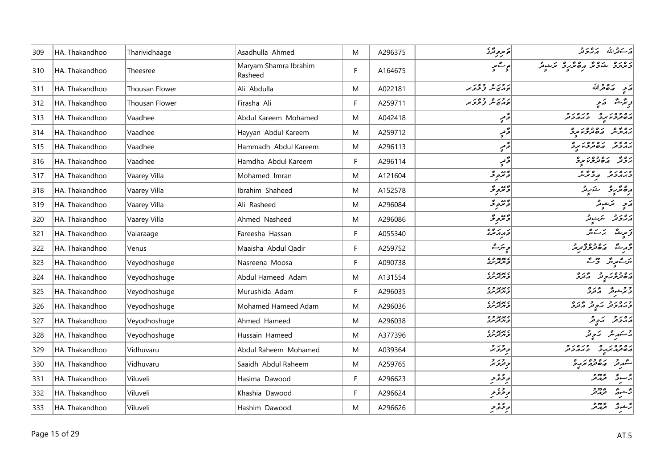| 309 | HA. Thakandhoo | Tharividhaage         | Asadhulla Ahmed                  | M           | A296375 | <br>  پر سره وگری                           | مَ مَعْرَاللّهِ مَ مِرْدَ مَّرَ                                    |
|-----|----------------|-----------------------|----------------------------------|-------------|---------|---------------------------------------------|--------------------------------------------------------------------|
| 310 | HA. Thakandhoo | Theesree              | Maryam Shamra Ibrahim<br>Rasheed | F           | A164675 | ە يەھىمە<br>ئۆ                              | ر ٥ ر ٥ ر ٥ ير ٥ مر ٥ مر شوتر<br>و بربرو شوو بر ار ٥ بر بر بر شوتر |
| 311 | HA. Thakandhoo | <b>Thousan Flower</b> | Ali Abdulla                      | M           | A022181 | ر ور ه په وي د                              | أصَعِي صَصْحَراللّه                                                |
| 312 | HA. Thakandhoo | Thousan Flower        | Firasha Ali                      | F           | A259711 | ر ور ه په ورځ پر                            | ويرثث كامي                                                         |
| 313 | HA. Thakandhoo | Vaadhee               | Abdul Kareem Mohamed             | M           | A042418 | حٌسٍ                                        | קס בפניקס - כדסק ב<br>הסתבטיקב - בהחבת                             |
| 314 | HA. Thakandhoo | Vaadhee               | Hayyan Abdul Kareem              | M           | A259712 | ۇ<br>ق <sub>ە</sub> لىر                     | גם מם הם כם גם                                                     |
| 315 | HA. Thakandhoo | Vaadhee               | Hammadh Abdul Kareem             | M           | A296113 | ر<br>حومر                                   |                                                                    |
| 316 | HA. Thakandhoo | Vaadhee               | Hamdha Abdul Kareem              | F           | A296114 | ر<br>ح م <sub>ي</sub>                       | رەپ رەدەر پرو                                                      |
| 317 | HA. Thakandhoo | Vaarey Villa          | Mohamed Imran                    | M           | A121604 | له <sup>در</sup> عرقر                       | ورەر دە دەر                                                        |
| 318 | HA. Thakandhoo | Vaarey Villa          | Ibrahim Shaheed                  | M           | A152578 | و پر<br>د تر <sub>حر</sub> ژ                | 5, 5, 6, 1<br>ے کھر فر<br>س                                        |
| 319 | HA. Thakandhoo | Vaarey Villa          | Ali Rasheed                      | M           | A296084 | و پر<br>د تر <sub>حر</sub> ژ                | أەكىم ئىم ئىشوقر                                                   |
| 320 | HA. Thakandhoo | Vaarey Villa          | Ahmed Nasheed                    | M           | A296086 | و پر<br>د تر <sub>حر</sub> څه               | رەر تە<br>مەركى سىش <sub>ۇ</sub> ش                                 |
| 321 | HA. Thakandhoo | Vaiaraage             | Fareesha Hassan                  | F.          | A055340 | ر<br>قەدەبىرى                               | تو پرېنځ کرکنگر                                                    |
| 322 | HA. Thakandhoo | Venus                 | Maaisha Abdul Qadir              | F           | A259752 | ء ٍ سَرَ ک                                  | ۇرىش مەمروقىرىر                                                    |
| 323 | HA. Thakandhoo | Veyodhoshuge          | Nasreena Moosa                   | F           | A090738 | ے مومو و ے<br>ح                             | ىركىمىرىتر بالمجانبة                                               |
| 324 | HA. Thakandhoo | Veyodhoshuge          | Abdul Hameed Adam                | M           | A131554 | ے پوپو و ے<br>ح <i>والو</i> تو ت            | גם כם ג' ב' בים<br>ג'סינקיביקי ג'ינקי                              |
| 325 | HA. Thakandhoo | Veyodhoshuge          | Murushida Adam                   | $\mathsf F$ | A296035 | ے پوپو و ے<br>ح <i>والو</i> تو ت            | وحرشوش كرمره                                                       |
| 326 | HA. Thakandhoo | Veyodhoshuge          | Mohamed Hameed Adam              | M           | A296036 | ے مومو و ے<br>ح <i></i> مرفرمر <sub>ک</sub> | כנסגב גבול פנס<br>כגובני גבול הנב                                  |
| 327 | HA. Thakandhoo | Veyodhoshuge          | Ahmed Hameed                     | M           | A296038 | ے پوپو و ے<br>ح <i>والو</i> تو ت            | رەرو رور                                                           |
| 328 | HA. Thakandhoo | Veyodhoshuge          | Hussain Hameed                   | M           | A377396 | ) مومو و د<br>  د مرتر مرد                  | جاسكويش الكاجي                                                     |
| 329 | HA. Thakandhoo | Vidhuvaru             | Abdul Raheem Mohamed             | M           | A039364 | ءِ ترءَ تر                                  | גם כם גם פגם גב<br>הסנגיגיב בגבבת                                  |
| 330 | HA. Thakandhoo | Vidhuvaru             | Saaidh Abdul Raheem              | M           | A259765 | ءِ ترءَ تر                                  | C 10701 3 10                                                       |
| 331 | HA. Thakandhoo | Viluveli              | Hasima Dawood                    | F           | A296623 | ویڅونو                                      | پر دو و<br>تو پر تو                                                |
| 332 | HA. Thakandhoo | Viluveli              | Khashia Dawood                   | F           | A296624 | و څوگومو                                    | مجھ شورچ<br>م<br>پر دو و<br>تر <i>هر</i> تر                        |
| 333 | HA. Thakandhoo | Viluveli              | Hashim Dawood                    | M           | A296626 | وقرة مر                                     | ر<br>رگسور<br>پر دو و<br>تر <i>هر</i> تر                           |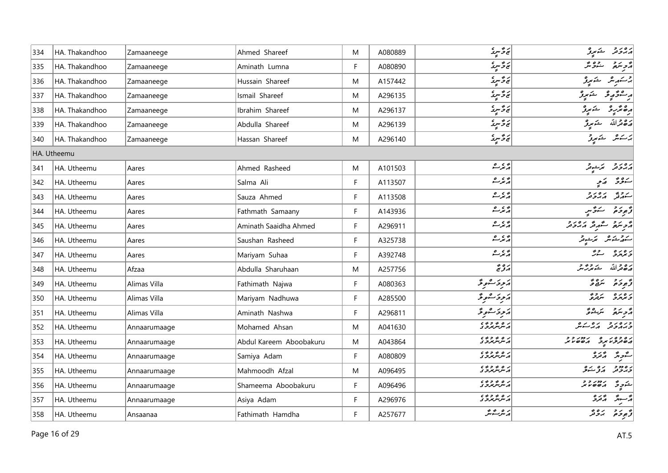| 334 | HA. Thakandhoo | Zamaaneege   | Ahmed Shareef           | M           | A080889 | بر و<br>پرځ سرچ                        | أرەر ئىسىرو                                             |
|-----|----------------|--------------|-------------------------|-------------|---------|----------------------------------------|---------------------------------------------------------|
| 335 | HA. Thakandhoo | Zamaaneege   | Aminath Lumna           | F           | A080890 | ر پر میں<br>پی تر س <sub>ی</sub> ری    | أزويتهم شوه شر                                          |
| 336 | HA. Thakandhoo | Zamaaneege   | Hussain Shareef         | M           | A157442 | ىر ئەسرىگە<br>ئ                        | چرىكىرىنى كىتىمىرى                                      |
| 337 | HA. Thakandhoo | Zamaaneege   | Ismail Shareef          | M           | A296135 | ىر ئەسرىگە<br>ئ                        | ىر مەدەپ ئى مەيرۇ<br>م                                  |
| 338 | HA. Thakandhoo | Zamaaneege   | Ibrahim Shareef         | M           | A296137 | پر محمد پر<br>پر ځ                     | ە ھەترىر <sup>ى</sup><br>برھەترىرى<br>ے مور             |
| 339 | HA. Thakandhoo | Zamaaneege   | Abdulla Shareef         | M           | A296139 | ئەۋسى <sup>ي</sup>                     | ة قوالله<br>ے موثر                                      |
| 340 | HA. Thakandhoo | Zamaaneege   | Hassan Shareef          | M           | A296140 | ىر ئ <sup>ۇ</sup> س <sub>ى</sub> بۇ    | پرستانلار اڪسيونی                                       |
|     | HA. Utheemu    |              |                         |             |         |                                        |                                                         |
| 341 | HA. Utheemu    | Aares        | Ahmed Rasheed           | M           | A101503 | پر بر م<br>مربوب                       | أرەر ئەسىر                                              |
| 342 | HA. Utheemu    | Aares        | Salma Ali               | $\mathsf F$ | A113507 | پر بر م<br>مربوب                       | ستوقت مأمر                                              |
| 343 | HA. Utheemu    | Aares        | Sauza Ahmed             | F           | A113508 | ېژ ټر ه                                | سەد ئەرەر دەر                                           |
| 344 | HA. Utheemu    | Aares        | Fathmath Samaany        | F           | A143936 | پر بر م<br>مربوب                       | ژ <sub>بوخ</sub> و سوئي                                 |
| 345 | HA. Utheemu    | Aares        | Aminath Saaidha Ahmed   | F           | A296911 | پر بر م<br>مربوب                       | مُ و سَرَةٍ مِسْتَمْرِ مُدَّرَ وَ رَ                    |
| 346 | HA. Utheemu    | Aares        | Saushan Rasheed         | F           | A325738 | پر بر ه<br>مرس                         | سكور شكور الكر المراجر                                  |
| 347 | HA. Utheemu    | Aares        | Mariyam Suhaa           | F           | A392748 | پر بە<br>مەنىرىسە                      | د ورو دی                                                |
| 348 | HA. Utheemu    | Afzaa        | Abdulla Sharuhaan       | M           | A257756 | پره پچ                                 | ەھىراللە<br>ے پر ژبر                                    |
| 349 | HA. Utheemu    | Alimas Villa | Fathimath Najwa         | F           | A080363 | ە ئەبەر ئەھمەتى                        | ء بر د<br>ترجوح<br>ىر ە بە<br>سرچ خ                     |
| 350 | HA. Utheemu    | Alimas Villa | Mariyam Nadhuwa         | $\mathsf F$ | A285500 | ار و با در هم د تر<br>م                | ر ه ر ه<br><del>د</del> بربرگ<br>ر و ه<br>سرتر <i>و</i> |
| 351 | HA. Utheemu    | Alimas Villa | Aminath Nashwa          | F           | A296811 | لأمرئز سفوقه                           | دٌ د سَرِمْ - سَرَسْوَرَّ                               |
| 352 | HA. Utheemu    | Annaarumaage | Mohamed Ahsan           | M           | A041630 | ر ه ۶ و ۶ ،<br>د س س پر و ی            | ورەرو رەپ                                               |
| 353 | HA. Utheemu    | Annaarumaage | Abdul Kareem Aboobakuru | M           | A043864 | ر ۵ ۶ ۶ ۶ ۶<br>۸ سرسربرو ی             | 77/77/7<br>ړه وه ر و                                    |
| 354 | HA. Utheemu    | Annaarumaage | Samiya Adam             | $\mathsf F$ | A080809 | ر ه ۶ و ۶ و<br>د سرسربرو د             | كشورة الممردة                                           |
| 355 | HA. Utheemu    | Annaarumaage | Mahmoodh Afzal          | M           | A096495 | ر ه ۶ و ۶ و<br>د سرسربر <del>و</del> د | رەپىرە رەپ كە                                           |
| 356 | HA. Utheemu    | Annaarumaage | Shameema Aboobakuru     | F           | A096496 | ر ه د د د ،<br>د سرس پرو د             | 77777<br> شَرْحٍ حٌ                                     |
| 357 | HA. Utheemu    | Annaarumaage | Asiya Adam              | F           | A296976 | ر ه د د د ،<br>د سرس پرو د             | رمج سبورش<br>پور ہ<br>مرکزو                             |
| 358 | HA. Utheemu    | Ansaanaa     | Fathimath Hamdha        | F           | A257677 | ىر ھ <sub>ە</sub> پە ئەشر              | و بر و بره و بر                                         |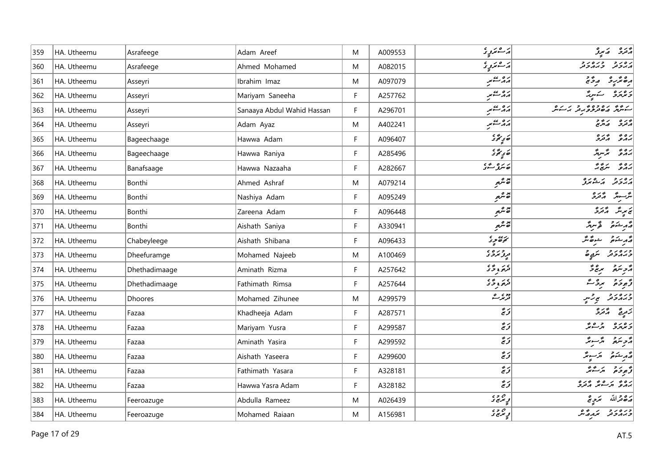| 359 | HA. Utheemu | Asrafeege      | Adam Areef                 | M  | A009553 | لەھبروپى                            | ەئىمبەر<br>و ره<br>د ترو                                      |
|-----|-------------|----------------|----------------------------|----|---------|-------------------------------------|---------------------------------------------------------------|
| 360 | HA. Utheemu | Asrafeege      | Ahmed Mohamed              | M  | A082015 | ىر شەنى <i>رىي</i>                  | بر 2 پر 13<br>مربر <del>5</del> تر<br>و ر ه ر د<br>تر پر ژ تر |
| 361 | HA. Utheemu | Asseyri        | Ibrahim Imaz               | M  | A097079 | لئەرىئىمىر                          | ە ھەترىر <i>ۋ</i><br>$\frac{25}{5}$                           |
| 362 | HA. Utheemu | Asseyri        | Mariyam Saneeha            | F. | A257762 | لهزه عيمر                           | ر ه ر ه<br>و بربرو<br>سەمبەر                                  |
| 363 | HA. Utheemu | Asseyri        | Sanaaya Abdul Wahid Hassan | F  | A296701 | لره يىمر                            |                                                               |
| 364 | HA. Utheemu | Asseyri        | Adam Ayaz                  | M  | A402241 | لهزة عيمبر                          | כנים היכיב<br>הבקים הי <i>ת</i> וב                            |
| 365 | HA. Utheemu | Bageechaage    | Hawwa Adam                 | F  | A096407 | ر<br>نه پ <sup>ه</sup> د ک          | پور ہ<br>پر تر تر<br>ر ه و<br>پروتو                           |
| 366 | HA. Utheemu | Bageechaage    | Hawwa Raniya               | F  | A285496 | ے پر پر ہ<br>م                      | بڑ سر پڑ<br>رە بە<br>برادى                                    |
| 367 | HA. Utheemu | Banafsaage     | Hawwa Nazaaha              | F. | A282667 | پر په وي.<br>ح <i>امزنۍ</i> مسر     | ر ه پ<br>برآرڅ<br>سريح پژ                                     |
| 368 | HA. Utheemu | Bonthi         | Ahmed Ashraf               | M  | A079214 | قاسرهج                              | ره رو بر دره ده                                               |
| 369 | HA. Utheemu | Bonthi         | Nashiya Adam               | F  | A095249 | القسعبر                             | په ره<br>د ترو<br>متزسور                                      |
| 370 | HA. Utheemu | Bonthi         | Zareena Adam               | F  | A096448 | بره<br>صنرمج                        | ئ <sub>ے میر</sub> یٹر<br> <br>پور ہ<br>پرترو                 |
| 371 | HA. Utheemu | Bonthi         | Aishath Saniya             | F  | A330941 | قامبرمج                             | وأبر خنفى فأوسر                                               |
| 372 | HA. Utheemu | Chabeyleege    | Aishath Shibana            | F  | A096433 | ری د ؟<br>کوه د د                   | ۇرىشكى ئىدۇش                                                  |
| 373 | HA. Utheemu | Dheefuramge    | Mohamed Najeeb             | M  | A100469 | ا <sub>وپو</sub> ژ <sub>تره و</sub> | ورەر د سربې ھ                                                 |
| 374 | HA. Utheemu | Dhethadimaage  | Aminath Rizma              | F  | A257642 | ه ريد و د د کار<br>مردم و مرد       |                                                               |
| 375 | HA. Utheemu | Dhethadimaage  | Fathimath Rimsa            | F. | A257644 | ړ د پر<br>تره د ژ د                 | قەدە برۇش                                                     |
| 376 | HA. Utheemu | <b>Dhoores</b> | Mohamed Zihunee            | M  | A299579 | دد ،<br>تربر ک                      | و ره ر و<br>د بر د تر<br>ىبېرتىپ                              |
| 377 | HA. Utheemu | Fazaa          | Khadheeja Adam             | F  | A287571 | تریخ                                | تزمرچ مردره                                                   |
| 378 | HA. Utheemu | Fazaa          | Mariyam Yusra              | F  | A299587 | ترتج                                | ر ه بر ه<br><del>د</del> بربر ژ<br>ىر ھەيھە                   |
| 379 | HA. Utheemu | Fazaa          | Aminath Yasira             | F  | A299592 | ترتج                                | أأدوسكم الأسور                                                |
| 380 | HA. Utheemu | Fazaa          | Aishath Yaseera            | F  | A299600 | ترتج                                | وكرمشكي الكرسوند                                              |
| 381 | HA. Utheemu | Fazaa          | Fathimath Yasara           | F  | A328181 | ترتج                                | توجدة المستعمر                                                |
| 382 | HA. Utheemu | Fazaa          | Hawwa Yasra Adam           | F  | A328182 | تریخ                                | رەپ رەپ بررە<br>برادى الاسلىم الاترى                          |
| 383 | HA. Utheemu | Feeroazuge     | Abdulla Rameez             | M  | A026439 | و چې د و<br>نو پرېځ د               | بر25 اللّه<br>بمرحريح                                         |
| 384 | HA. Utheemu | Feeroazuge     | Mohamed Raiaan             | M  | A156981 | و چې د ۽<br>ويمريج <sub>ک</sub>     | ورەرو بەرگە                                                   |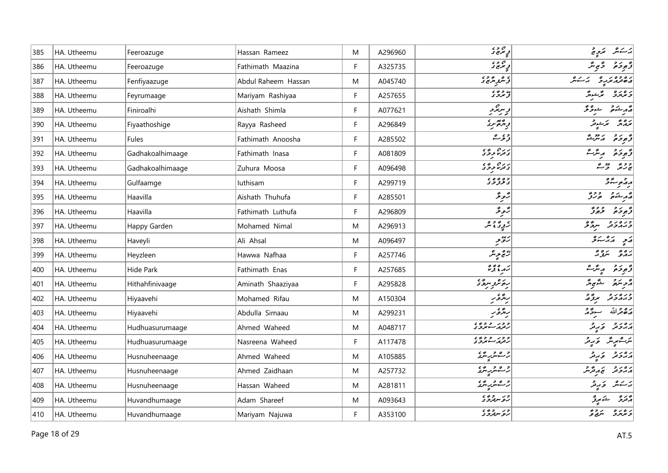| 385 | HA. Utheemu | Feeroazuge       | Hassan Rameez       | M           | A296960 | د ص و ۽<br>پي پڻ پي                         | برسەيىتى<br>بمرحرج                    |
|-----|-------------|------------------|---------------------|-------------|---------|---------------------------------------------|---------------------------------------|
| 386 | HA. Utheemu | Feeroazuge       | Fathimath Maazina   | F           | A325735 | و ص و ۽<br>اوڀ مربع <sub>ک</sub>            | ۇ بۇرۇ ئەبەتر                         |
| 387 | HA. Utheemu | Fenfiyaazuge     | Abdul Raheem Hassan | M           | A045740 | ې هروگړي<br>د شر <sub>وگ</sub> ري           |                                       |
| 388 | HA. Utheemu | Feyrumaage       | Mariyam Rashiyaa    | F           | A257655 | ہ د د د د<br><mark>ز برو د</mark>           | رەرە شىشەد                            |
| 389 | HA. Utheemu | Finiroalhi       | Aishath Shimla      | $\mathsf F$ | A077621 | و سرچر<br>تر بر                             | وگرېشو شوڅوگو<br>م                    |
| 390 | HA. Utheemu | Fiyaathoshige    | Rayya Rasheed       | F           | A296849 | وبيوع                                       | برەپر برَشوتر                         |
| 391 | HA. Utheemu | Fules            | Fathimath Anoosha   | $\mathsf F$ | A285502 | د ځو شه                                     | ژ <sub>بو د</sub> ر مشتر              |
| 392 | HA. Utheemu | Gadhakoalhimaage | Fathimath Inasa     | F           | A081809 | پر چې په په<br>  په تعريق تر چې             | قوم في المستراب                       |
| 393 | HA. Utheemu | Gadhakoalhimaage | Zuhura Moosa        | F           | A096498 | ر ر <i>0 ر و ي</i><br>  د تر <i>نا</i> تر د | ووو ووث                               |
| 394 | HA. Utheemu | Gulfaamge        | luthisam            | F           | A299719 | و ه و ه ه ،<br>د ترتو تر د                  | وەي بە                                |
| 395 | HA. Utheemu | Haavilla         | Aishath Thuhufa     | F           | A285501 | رحمع محر                                    | و دور<br>مگر شوی مورق                 |
| 396 | HA. Utheemu | Haavilla         | Fathimath Luthufa   | F.          | A296809 | رحموقر                                      | وٌ و دورو                             |
| 397 | HA. Utheemu | Happy Garden     | Mohamed Nimal       | M           | A296913 | ر پ <sub>و</sub> تو تو مگر                  | כנסנכ תשם                             |
| 398 | HA. Utheemu | Haveyli          | Ali Ahsal           | M           | A096497 | رەيە<br>رەبىر                               | $rac{1}{2}$                           |
| 399 | HA. Utheemu | Heyzleen         | Hawwa Nafhaa        | F           | A257746 | ئەج م <sub>ۇ</sub> بىر                      | ره و بروو                             |
| 400 | HA. Utheemu | Hide Park        | Fathimath Enas      | F           | A257685 | ىر دې بۇر،<br>س                             | قرموختمو مريثر                        |
| 401 | HA. Utheemu | Hithahfinivaage  | Aminath Shaaziyaa   | F           | A295828 | ىرغ <sub>ە</sub> ئىروپىرىقى ئە              | أأرد المستقصر                         |
| 402 | HA. Utheemu | Hiyaavehi        | Mohamed Rifau       | M           | A150304 | ىرە ئەھمەر                                  | و ر ه ر و<br>تر پر ژ تر<br>بروژه      |
| 403 | HA. Utheemu | Hiyaavehi        | Abdulla Simaau      | M           | A299231 | رېژۀ ر                                      | ەھىراللە<br>سەۋە                      |
| 404 | HA. Utheemu | Hudhuasurumaage  | Ahmed Waheed        | M           | A048717 | و ور _ و و د ،<br>رتوړ سه بور ی             | رەرو كەيتر                            |
| 405 | HA. Utheemu | Hudhuasurumaage  | Nasreena Waheed     | $\mathsf F$ | A117478 | و ور _و و پر و<br>رتوبر — برو ی             | ىئرىشمېرىنتى ئۇبرىتر                  |
| 406 | HA. Utheemu | Husnuheenaage    | Ahmed Waheed        | M           | A105885 | ر مشتر پر سر<br>مسلم                        | ره رو در د<br>ا <i>ر د د د و</i> ر تر |
| 407 | HA. Utheemu | Husnuheenaage    | Ahmed Zaidhaan      | M           | A257732 | ر مشتر پر سر<br>مسلم                        | رەرد تەرىرىد                          |
| 408 | HA. Utheemu | Husnuheenaage    | Hassan Waheed       | M           | A281811 | 2 مەش <sub>رىپ</sub> ىدىكى<br>مەسرىپە       | پرسترین کار کردگر                     |
| 409 | HA. Utheemu | Huvandhumaage    | Adam Shareef        | M           | A093643 | و ر<br>ره سربرو د                           | وره خوره<br>مهرد خورد                 |
| 410 | HA. Utheemu | Huvandhumaage    | Mariyam Najuwa      | F           | A353100 | و ر<br>ره سربرو د                           | رەرە بەدە                             |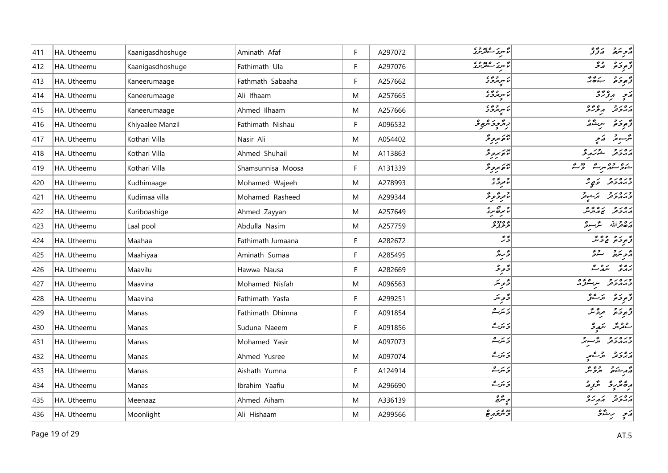| 411 | HA. Utheemu | Kaanigasdhoshuge | Aminath Afaf      | F         | A297072 | شهری صدو و د<br>  شهری سونتر دی                            | أثر حريجو<br>ىرۇۋ                                                                                                                |
|-----|-------------|------------------|-------------------|-----------|---------|------------------------------------------------------------|----------------------------------------------------------------------------------------------------------------------------------|
| 412 | HA. Utheemu | Kaanigasdhoshuge | Fathimath Ula     | F         | A297076 | ر در ۲۵ ورو دی.<br>مرسمه در سوفترس                         | و مر د<br>اقرامو شهر<br>رژ                                                                                                       |
| 413 | HA. Utheemu | Kaneerumaage     | Fathmath Sabaaha  | F         | A257662 | ئەسپەتىرى ئ                                                | بەھ<br>ۇ بوخ تو                                                                                                                  |
| 414 | HA. Utheemu | Kaneerumaage     | Ali Ifhaam        | M         | A257665 | ر<br>رسپردی                                                | ړې د دره                                                                                                                         |
| 415 | HA. Utheemu | Kaneerumaage     | Ahmed Ilhaam      | M         | A257666 | ئەسرىرىرى<br>  ئەسرىرىرى                                   | رەرو مەدە                                                                                                                        |
| 416 | HA. Utheemu | Khiyaalee Manzil | Fathimath Nishau  | F         | A096532 | ر پژویز شمیر ژ                                             | و المعرفية المحمد المعرفية المحمدة المحمدة المحمدة المحمدة المحمدة المحمدة المحمدة المحمدة المحمدة ا                             |
| 417 | HA. Utheemu | Kothari Villa    | Nasir Ali         | ${\sf M}$ | A054402 | بىز<br>ئامۇمرەرىگە                                         | شبه شرقه الأميم                                                                                                                  |
| 418 | HA. Utheemu | Kothari Villa    | Ahmed Shuhail     | ${\sf M}$ | A113863 | بر<br>بره بره مر                                           | أرەر دىرىدى                                                                                                                      |
| 419 | HA. Utheemu | Kothari Villa    | Shamsunnisa Moosa | F         | A131339 | ئەئم بىرە بۇ                                               | $\begin{pmatrix} 0 & 0 & 0 & 0 & 0 & 0 \\ 0 & 0 & 0 & 0 & 0 & 0 \\ 0 & 0 & 0 & 0 & 0 & 0 \\ 0 & 0 & 0 & 0 & 0 & 0 \end{pmatrix}$ |
| 420 | HA. Utheemu | Kudhimaage       | Mohamed Wajeeh    | M         | A278993 | و رو ء<br>ما فرقری                                         | وره دو دره کرده                                                                                                                  |
| 421 | HA. Utheemu | Kudimaa villa    | Mohamed Rasheed   | M         | A299344 | ءتروتحوقر                                                  | ورەرو كەشپەر                                                                                                                     |
| 422 | HA. Utheemu | Kuriboashige     | Ahmed Zayyan      | ${\sf M}$ | A257649 | و هم ده<br>ما موره مور                                     | גפגר גפגים                                                                                                                       |
| 423 | HA. Utheemu | Laal pool        | Abdulla Nasim     | M         | A257759 | ه o oo<br>نوموبومو                                         | مَدْهُ قَدْ اللّه مَّرْسُورْ                                                                                                     |
| 424 | HA. Utheemu | Maahaa           | Fathimath Jumaana | F         | A282672 | $\overset{\circ}{\mathcal{Z}}\overset{\circ}{\mathcal{Z}}$ | قهوخهم محافاته                                                                                                                   |
| 425 | HA. Utheemu | Maahiyaa         | Aminath Sumaa     | F         | A285495 | د مر<br>د                                                  | أأرمز المحمد المستورثة                                                                                                           |
| 426 | HA. Utheemu | Maavilu          | Hawwa Nausa       | F         | A282669 | و هم د                                                     | برە ئەر ئىر                                                                                                                      |
| 427 | HA. Utheemu | Maavina          | Mohamed Nisfah    | M         | A096563 | ۇ ئەسكە                                                    | وره رو سرسور ده<br><i>د ب</i> رماند سرسور                                                                                        |
| 428 | HA. Utheemu | Maavina          | Fathimath Yasfa   | F         | A299251 | ۇ ئەسكە                                                    | ژ <sub>بوخو</sub> پرېژ                                                                                                           |
| 429 | HA. Utheemu | Manas            | Fathimath Dhimna  | F         | A091854 | ىر ئىر م                                                   | قهودة مروش                                                                                                                       |
| 430 | HA. Utheemu | Manas            | Suduna Naeem      | F         | A091856 | ى ئىر مىشە                                                 | ے قریش سکھاؤ                                                                                                                     |
| 431 | HA. Utheemu | Manas            | Mohamed Yasir     | ${\sf M}$ | A097073 | ى ئىر مىشە                                                 | ورەرو ئۇسىر                                                                                                                      |
| 432 | HA. Utheemu | <b>Manas</b>     | Ahmed Yusree      | ${\sf M}$ | A097074 | ى ئىر مىشە                                                 | ره رو وه<br>دروند مرگور                                                                                                          |
| 433 | HA. Utheemu | Manas            | Aishath Yumna     | F         | A124914 | ى ئىر مىشە                                                 | أشهر شده المردين                                                                                                                 |
| 434 | HA. Utheemu | Manas            | Ibrahim Yaafiu    | ${\sf M}$ | A296690 | ى ئىر مىشە                                                 | ת פיציב תונה                                                                                                                     |
| 435 | HA. Utheemu | Meenaaz          | Ahmed Aiham       | M         | A336139 | حي مترج                                                    |                                                                                                                                  |
| 436 | HA. Utheemu | Moonlight        | Ali Hishaam       | ${\sf M}$ | A299566 | روموبر ۾                                                   | $\begin{array}{cc} 2\frac{a}{2} & a\\ 2\frac{a}{2} & a \end{array}$                                                              |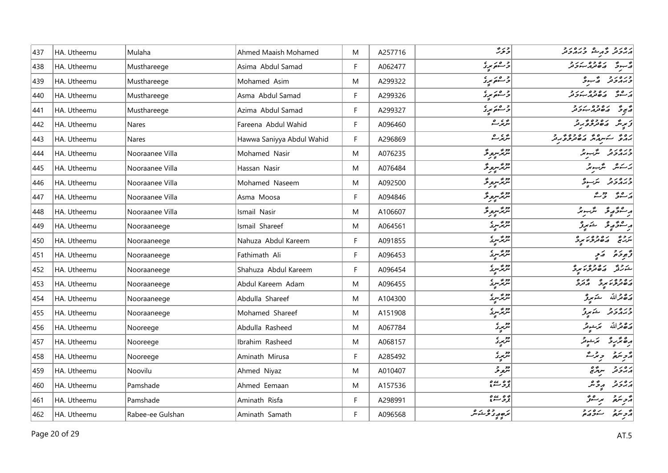| 437 | HA. Utheemu | Mulaha           | Ahmed Maaish Mohamed      | M         | A257716 | ورو                            | גם גב כוב כגם גב                                         |
|-----|-------------|------------------|---------------------------|-----------|---------|--------------------------------|----------------------------------------------------------|
| 438 | HA. Utheemu | Musthareege      | Asima Abdul Samad         | F         | A062477 | أقرعهم مربح                    | ه به ده وه رر د<br>په بود په هغربه جو تر                 |
| 439 | HA. Utheemu | Musthareege      | Mohamed Asim              | M         | A299322 | د ه په دې<br>د سوه پرې         | ورەرو ئەبدۇ                                              |
| 440 | HA. Utheemu | Musthareege      | Asma Abdul Samad          | F         | A299326 | د صر مر<br>په مسرو کړې         | ره وه بر ر د<br>پره تر پر سرو تر<br>رەپچ                 |
| 441 | HA. Utheemu | Musthareege      | Azima Abdul Samad         | F         | A299327 | د صمر مرد<br>مرگ               | ر ٥ ٥ ٥ ٥ ر ر و<br>پره تر پر ښو <del>ر</del> تر<br>وحجمج |
| 442 | HA. Utheemu | <b>Nares</b>     | Fareena Abdul Wahid       | F         | A096460 | پڑ پر ہ                        | ترىيەش كەھ تەرەپ تەر                                     |
| 443 | HA. Utheemu | Nares            | Hawwa Saniyya Abdul Wahid | F         | A296869 | متزبر حر                       | ים ז' היינה א' הסיניבים הב                               |
| 444 | HA. Utheemu | Nooraanee Villa  | Mohamed Nasir             | M         | A076235 | يژبر سره ځه<br>مستقب           | ورەرو شەر                                                |
| 445 | HA. Utheemu | Nooraanee Villa  | Hassan Nasir              | ${\sf M}$ | A076484 | ترىر سرە م <sup>ى</sup> ر<br>ئ | ىزىكىش ئىگرىنىدىگر                                       |
| 446 | HA. Utheemu | Nooraanee Villa  | Mohamed Naseem            | M         | A092500 | تربر يبرعه قر                  | ورەر دىرىدۇ                                              |
| 447 | HA. Utheemu | Nooraanee Villa  | Asma Moosa                | F         | A094846 |                                | براه والمحمد المحمد                                      |
| 448 | HA. Utheemu | Nooraanee Villa  | Ismail Nasir              | M         | A106607 | تر پژمېږ <sub>د</sub> ځه       | ر عۇرپۇ سەيدۇ                                            |
| 449 | HA. Utheemu | Nooraaneege      | Ismail Shareef            | M         | A064561 | دو پر<br>سربر سرپر             | ر شۇرۇ شېرۇ                                              |
| 450 | HA. Utheemu | Nooraaneege      | Nahuza Abdul Kareem       | F         | A091855 | دور<br>سرپر سرپر               | ני נסיפות                                                |
| 451 | HA. Utheemu | Nooraaneege      | Fathimath Ali             | F         | A096453 | دو پر<br>سربر سرپر             | و محمد الله من الله من الله من                           |
| 452 | HA. Utheemu | Nooraaneege      | Shahuza Abdul Kareem      | F         | A096454 | دو پر<br>سربر سرپر             | ر و ده ده ده د ه<br>شورن <sub>د</sub> ده ترونا برو       |
| 453 | HA. Utheemu | Nooraaneege      | Abdul Kareem Adam         | ${\sf M}$ | A096455 | دور<br>سرپر سرپر               | גם כסג פי הבקב<br>הסתיביות כ                             |
| 454 | HA. Utheemu | Nooraaneege      | Abdulla Shareef           | M         | A104300 | دور<br>سربر سرپر               | پر ۱۵ د کمبر دیگر                                        |
| 455 | HA. Utheemu | Nooraaneege      | Mohamed Shareef           | M         | A151908 | دو پر<br>سربر سرپر             | ورەر د شەرژ                                              |
| 456 | HA. Utheemu | Nooreege         | Abdulla Rasheed           | M         | A067784 | دد<br>مترسمي <sup>5</sup>      | رەقراللە كمەئدىر                                         |
| 457 | HA. Utheemu | Nooreege         | Ibrahim Rasheed           | M         | A068157 | دد<br>مترسری                   | ە ھېڭرىر<br>ب<br>ىمەشىرەتەر<br>ئ                         |
| 458 | HA. Utheemu | Nooreege         | Aminath Mirusa            | F         | A285492 | دو<br>مترسمي <sup>ى</sup>      | أرمز<br>ىر بۇرىگە                                        |
| 459 | HA. Utheemu | Noovilu          | Ahmed Niyaz               | ${\sf M}$ | A010407 | لترهر فحر                      | پر و پر و<br>سرگرم                                       |
| 460 | HA. Utheemu | Pamshade         | Ahmed Eemaan              | ${\sf M}$ | A157536 | و و ۽ ۽ ه<br>بڙچ ڪسو           | גפנק גליל                                                |
| 461 | HA. Utheemu | Pamshade         | Aminath Risfa             | F         | A298991 | ېږو <sub>ي</sub> ږه<br>برو سوه | ىرىشۇ<br>ړې سرچ                                          |
| 462 | HA. Utheemu | Rabee-ee Gulshan | Aminath Samath            | F         | A096568 | بَرَھ مرکو شَدَيْر             | ړ د سره<br>سرە بەر                                       |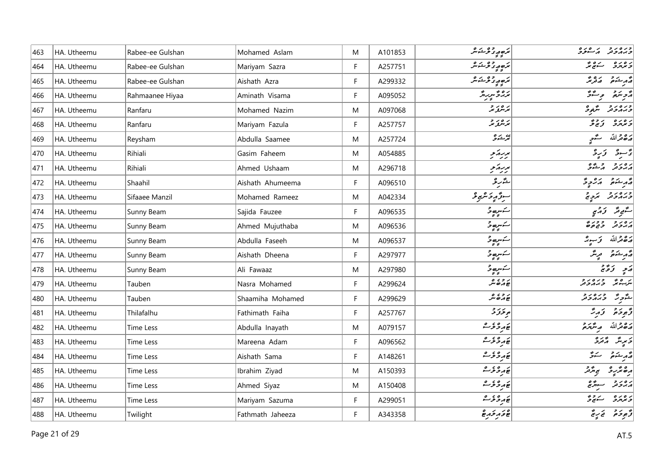| 463 | HA. Utheemu | Rabee-ee Gulshan | Mohamed Aslam    | M  | A101853 | ئەھەر ئەم ئەشر                      | برعبره<br>و ر ه ر و<br><i>و پر</i> پر تر     |
|-----|-------------|------------------|------------------|----|---------|-------------------------------------|----------------------------------------------|
| 464 | HA. Utheemu | Rabee-ee Gulshan | Mariyam Sazra    | F. | A257751 | ىر ھەر زوشكە<br>ئىر ھەر دىكەنلەر    | سەچ ئىر<br>ر ه ر ه                           |
| 465 | HA. Utheemu | Rabee-ee Gulshan | Aishath Azra     | F  | A299332 | ئىمەر قوشىش                         | م ديد ده در د                                |
| 466 | HA. Utheemu | Rahmaanee Hiyaa  | Aminath Visama   | F  | A095052 | ىر 2 جەسىر بەر<br>ئىرىرى ج          | ومحر يتمتحر وستكر                            |
| 467 | HA. Utheemu | Ranfaru          | Mohamed Nazim    | M  | A097068 | ىر ھ <sub>ە</sub> ر جە              | سگەۋ<br>و ره ر و<br>تر پر تر تر              |
| 468 | HA. Utheemu | Ranfaru          | Mariyam Fazula   | F  | A257757 | ىر ھەر ج                            | ۇ ئەڭ<br>ر ه ر ه<br><del>د</del> بربرد       |
| 469 | HA. Utheemu | Reysham          | Abdulla Saamee   | M  | A257724 | ى دەرە<br>ئىرىشىۋ                   | <mark>برء تر</mark> الله<br>رهجير            |
| 470 | HA. Utheemu | Rihiali          | Gasim Faheem     | M  | A054885 | برر بر<br>ر                         | مخ سوش تور <u>ه</u><br>د                     |
| 471 | HA. Utheemu | Rihiali          | Ahmed Ushaam     | M  | A296718 | بررديجه                             | رەرو ويۇھ                                    |
| 472 | HA. Utheemu | Shaahil          | Aishath Ahumeema | F  | A096510 | ىش رىۋ<br>ب                         | أقهر شكافه أوراج ومحم                        |
| 473 | HA. Utheemu | Sifaaee Manzil   | Mohamed Rameez   | M  | A042334 | سرۇ <sub>م</sub> رۇش <sub>ك</sub> و | כנסנב גב<br>כממכת תבש                        |
| 474 | HA. Utheemu | Sunny Beam       | Sajida Fauzee    | F  | A096535 | سە سەھ ۋ                            | ستھومتر الارحماني                            |
| 475 | HA. Utheemu | Sunny Beam       | Ahmed Mujuthaba  | M  | A096536 | سەرەر                               | 272222020                                    |
| 476 | HA. Utheemu | Sunny Beam       | Abdulla Faseeh   | M  | A096537 | سەسىرە ئە<br>ئەس                    | رەقراللە ترىبور                              |
| 477 | HA. Utheemu | Sunny Beam       | Aishath Dheena   | F  | A297977 | ر<br>سەرھەر                         | و<br>مريد من فرس                             |
| 478 | HA. Utheemu | Sunny Beam       | Ali Fawaaz       | M  | A297980 | ر<br>سکسر ہے تر                     | ړي د ده پن                                   |
| 479 | HA. Utheemu | Tauben           | Nasra Mohamed    | F  | A299624 | ر د ، ه<br>ع مره س                  | ىر 2 مۇ<br>و ره ر د<br>تر پر ژ تر            |
| 480 | HA. Utheemu | Tauben           | Shaamiha Mohamed | F  | A299629 | ر د ، ه<br>ج م ځم                   | و ر ه ر د<br>تربر پر تر<br>ڪ تر <sup>ي</sup> |
| 481 | HA. Utheemu | Thilafalhu       | Fathimath Faiha  | F  | A257767 | اموځونر                             | وٌجوحَمُ وَمِرَّ                             |
| 482 | HA. Utheemu | <b>Time Less</b> | Abdulla Inayath  | M  | A079157 | لتجرد وعرشه                         | مَصْعَراللّه<br>ە سەر د                      |
| 483 | HA. Utheemu | <b>Time Less</b> | Mareena Adam     | F  | A096562 | لى مەر ئەممى مىسى<br>مەر ئەممى      | د پر شهره<br>د پر                            |
| 484 | HA. Utheemu | <b>Time Less</b> | Aishath Sama     | F  | A148261 | ى <sub>مر</sub> و ئۇر               | و ديگر ديد.<br>مريضو سکو                     |
| 485 | HA. Utheemu | <b>Time Less</b> | Ibrahim Ziyad    | M  | A150393 | <br> غ <sub>ار</sub> ونۇر           | رە ئەر ئەرگە                                 |
| 486 | HA. Utheemu | <b>Time Less</b> | Ahmed Siyaz      | M  | A150408 | ع <sub>ا</sub> ر د بر عه            | ر ه ر د<br>م.روتر<br>سودرج                   |
| 487 | HA. Utheemu | Time Less        | Mariyam Sazuma   | F  | A299051 | ع <sub>امر</sub> دعمر شه            | ستهزج<br>ر ه بر ه<br>د <del>ب</del> ربرد     |
| 488 | HA. Utheemu | Twilight         | Fathmath Jaheeza | F. | A343358 | <br>  ع ءَ م جَ م ع                 | وَّجْوَحَهُ ۖ يَا لَمِنَّ                    |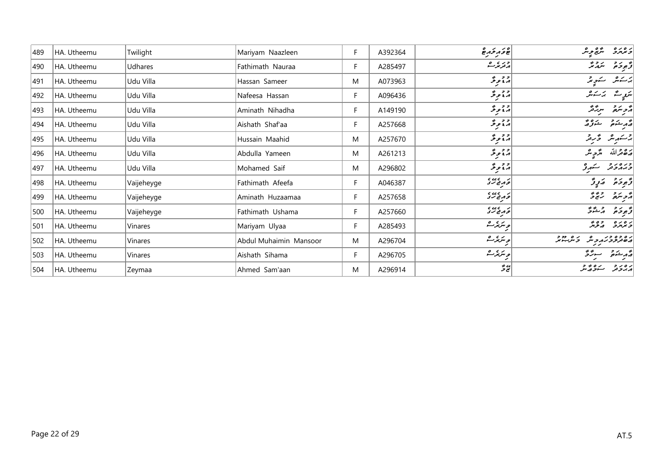| 489 | HA. Utheemu | Twilight   | Mariyam Naazleen       | F. | A392364 | $rac{1}{2}$                      | پر ه پر ه<br>000<br>سريخ لرسر                               |
|-----|-------------|------------|------------------------|----|---------|----------------------------------|-------------------------------------------------------------|
| 490 | HA. Utheemu | Udhares    | Fathimath Nauraa       | F  | A285497 | دیری ہے                          | وٌ جو پَر و<br>سترتر                                        |
| 491 | HA. Utheemu | Udu Villa  | Hassan Sameer          | M  | A073963 | 23ء تھ                           | پرستہ سے پہ تھ                                              |
| 492 | HA. Utheemu | Udu Villa  | Nafeesa Hassan         | F  | A096436 | د ? ء مَّ                        | شموٍے کے سکھر                                               |
| 493 | HA. Utheemu | Udu Villa  | Aminath Nihadha        | F  | A149190 | د ? ء مَّ                        | أثر وسرة المسرور                                            |
| 494 | HA. Utheemu | Udu Villa  | Aishath Shaf'aa        | F. | A257668 | 23ءء تھ                          | أور مشترة الشنوق                                            |
| 495 | HA. Utheemu | Udu Villa  | Hussain Maahid         | M  | A257670 | د ? ء مَّ                        | برسكهر مركز والمراد                                         |
| 496 | HA. Utheemu | Udu Villa  | Abdulla Yameen         | M  | A261213 | د ? ء مَّ                        | ح قوترالله مرتجة مر                                         |
| 497 | HA. Utheemu | Udu Villa  | Mohamed Saif           | M  | A296802 | 23ءء تھ                          | و ر ه ر و<br>تر پر ژ تر<br>ستهرقر                           |
| 498 | HA. Utheemu | Vaijeheyge | Fathimath Afeefa       | F. | A046387 | پر په پرو<br>  توم خرمو          | ړ تړ و<br>قرموحرم                                           |
| 499 | HA. Utheemu | Vaijeheyge | Aminath Huzaamaa       | F  | A257658 | پر پری پر<br>  تو پر پر پر       | و مرد و و و د                                               |
| 500 | HA. Utheemu | Vaijeheyge | Fathimath Ushama       | F. | A257660 | تەرىخ ئەنج                       | رحمشر<br>ا توجو څخه                                         |
| 501 | HA. Utheemu | Vinares    | Mariyam Ulyaa          | F  | A285493 | <sub>حە</sub> ئىر <i>بۇ</i> ر شە | ر ه ر ه<br><del>ر</del> بربرگر<br>$\bullet$ 0 2<br>ەر پر سر |
| 502 | HA. Utheemu | Vinares    | Abdul Muhaimin Mansoor | M  | A296704 | ە ئىرىزىشە                       | ر ه وه ور<br>پره تربربر بر بر<br>پر ۵٫۵ و<br>--             |
| 503 | HA. Utheemu | Vinares    | Aishath Sihama         | F. | A296705 | ریر پڑے                          | سەرىخ<br>پھر ڪوير<br>مرکز ڪوي                               |
| 504 | HA. Utheemu | Zeymaa     | Ahmed Sam'aan          | M  | A296914 | ی بحر<br>مح                      | 2 401<br>  پر 9 پر و<br>سىورىس                              |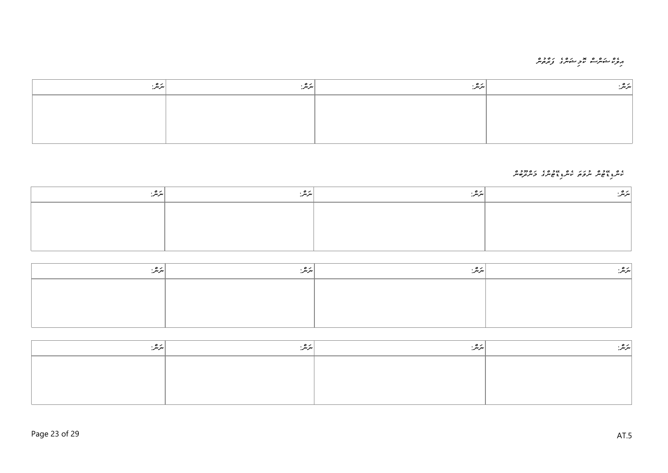## *w7qAn8m? sCw7mRo>u; wEw7mRw;sBo<*

| ' مرمر | 'يئرىثر: |
|--------|----------|
|        |          |
|        |          |
|        |          |

## *w7q9r@w7m> sCw7qHtFoFw7s; mAm=q7 w7qHtFoFw7s;*

| ىر تە | $\mathcal{O} \times$<br>$\sim$ | $\sim$<br>. . | لترنثر |
|-------|--------------------------------|---------------|--------|
|       |                                |               |        |
|       |                                |               |        |
|       |                                |               |        |

| انترنثر: | $^{\circ}$ | يبرهر | $^{\circ}$<br>سرسر |
|----------|------------|-------|--------------------|
|          |            |       |                    |
|          |            |       |                    |
|          |            |       |                    |

| ىرتىر: | 。<br>سر سر | .,<br>مرسر |
|--------|------------|------------|
|        |            |            |
|        |            |            |
|        |            |            |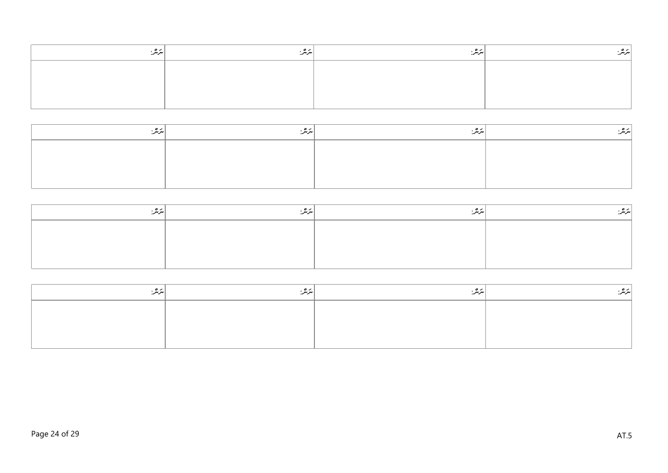| يزهر | $^{\circ}$ | ىئرىتر: |  |
|------|------------|---------|--|
|      |            |         |  |
|      |            |         |  |
|      |            |         |  |

| <sup>.</sup> سرسر. |  |
|--------------------|--|
|                    |  |
|                    |  |
|                    |  |

| ىئرىتر. | $\sim$ | ا بر هه. | لىرىش |
|---------|--------|----------|-------|
|         |        |          |       |
|         |        |          |       |
|         |        |          |       |

| 。<br>مرس. | $\overline{\phantom{a}}$<br>مر مىر | يتريثر |
|-----------|------------------------------------|--------|
|           |                                    |        |
|           |                                    |        |
|           |                                    |        |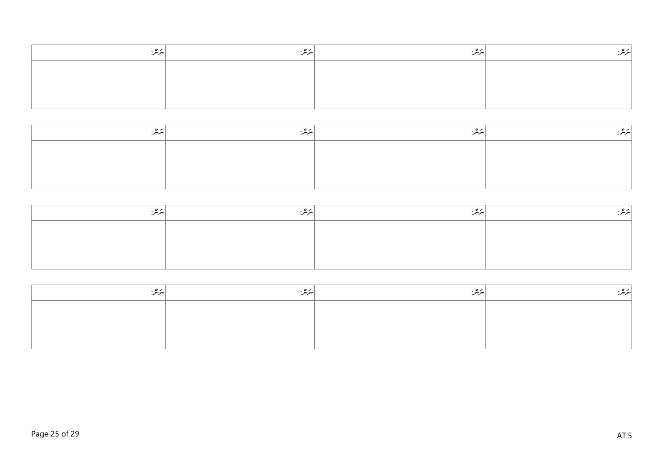| ير هو . | $\overline{\phantom{a}}$ | يرمر | اير هنه. |
|---------|--------------------------|------|----------|
|         |                          |      |          |
|         |                          |      |          |
|         |                          |      |          |

| ىر تىر: | $\circ$ $\sim$<br>" سرسر . | يترمير | o . |
|---------|----------------------------|--------|-----|
|         |                            |        |     |
|         |                            |        |     |
|         |                            |        |     |

| انترنثر: | ر ه |  |
|----------|-----|--|
|          |     |  |
|          |     |  |
|          |     |  |

|  | . ه |
|--|-----|
|  |     |
|  |     |
|  |     |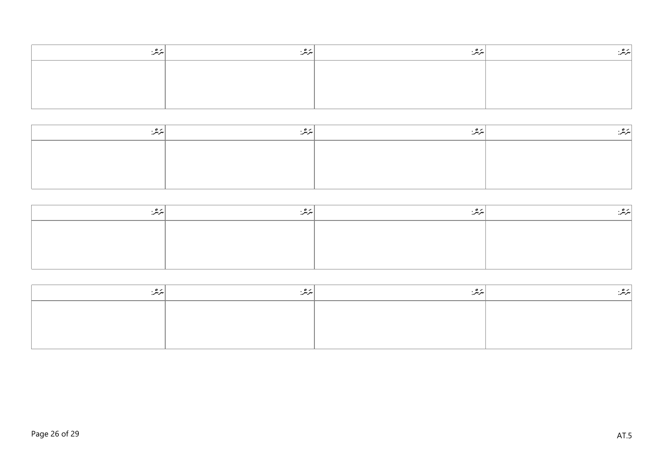| ير هو . | $\overline{\phantom{a}}$ | يرمر | اير هنه. |
|---------|--------------------------|------|----------|
|         |                          |      |          |
|         |                          |      |          |
|         |                          |      |          |

| ىر تىر: | $\circ$ $\sim$<br>" سرسر . | يترمير | o . |
|---------|----------------------------|--------|-----|
|         |                            |        |     |
|         |                            |        |     |
|         |                            |        |     |

| 'تترنثر: | 。<br>,,,, |  |
|----------|-----------|--|
|          |           |  |
|          |           |  |
|          |           |  |

|  | . ه |
|--|-----|
|  |     |
|  |     |
|  |     |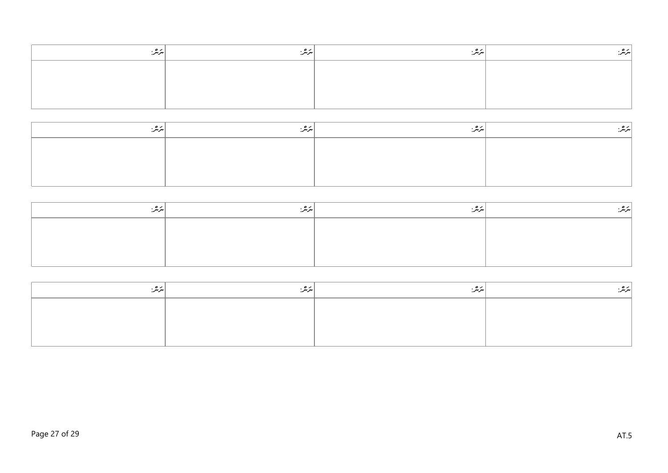| $\cdot$ | ο. | $\frac{\circ}{\cdot}$ | $\sim$<br>سرسر |
|---------|----|-----------------------|----------------|
|         |    |                       |                |
|         |    |                       |                |
|         |    |                       |                |

| ايرعر: | ر ه<br>. . |  |
|--------|------------|--|
|        |            |  |
|        |            |  |
|        |            |  |

| بر ه | 。 | $\sim$<br>َ سومس. |  |
|------|---|-------------------|--|
|      |   |                   |  |
|      |   |                   |  |
|      |   |                   |  |

| 。<br>. س | ىرىىر |  |
|----------|-------|--|
|          |       |  |
|          |       |  |
|          |       |  |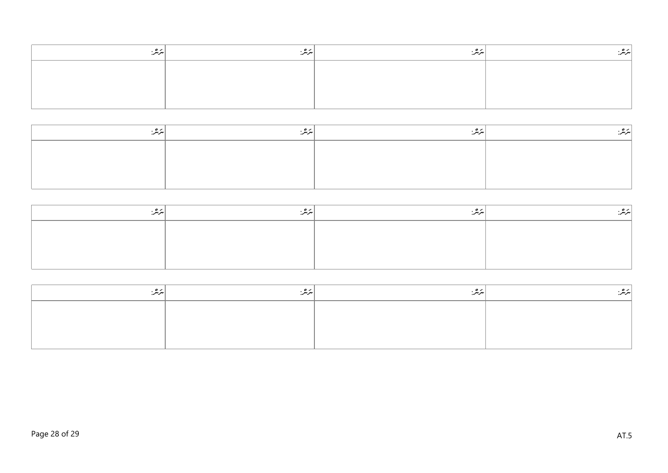| ير هو . | $\overline{\phantom{a}}$ | يرمر | لتزمثن |
|---------|--------------------------|------|--------|
|         |                          |      |        |
|         |                          |      |        |
|         |                          |      |        |

| ىر تىر: | $\circ$ $\sim$<br>" سرسر . | يترمير | o . |
|---------|----------------------------|--------|-----|
|         |                            |        |     |
|         |                            |        |     |
|         |                            |        |     |

| انترنثر: | ر ه |  |
|----------|-----|--|
|          |     |  |
|          |     |  |
|          |     |  |

|  | . ه |
|--|-----|
|  |     |
|  |     |
|  |     |